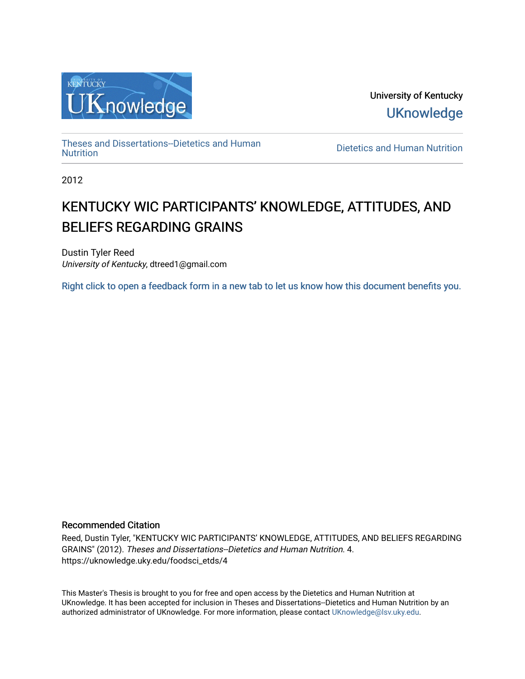

University of Kentucky **UKnowledge** 

[Theses and Dissertations--Dietetics and Human](https://uknowledge.uky.edu/foodsci_etds)

Dietetics and Human [Nutrition](https://uknowledge.uky.edu/foodsci_etds)

2012

# KENTUCKY WIC PARTICIPANTS' KNOWLEDGE, ATTITUDES, AND BELIEFS REGARDING GRAINS

Dustin Tyler Reed University of Kentucky, dtreed1@gmail.com

[Right click to open a feedback form in a new tab to let us know how this document benefits you.](https://uky.az1.qualtrics.com/jfe/form/SV_9mq8fx2GnONRfz7)

### Recommended Citation

Reed, Dustin Tyler, "KENTUCKY WIC PARTICIPANTS' KNOWLEDGE, ATTITUDES, AND BELIEFS REGARDING GRAINS" (2012). Theses and Dissertations--Dietetics and Human Nutrition. 4. https://uknowledge.uky.edu/foodsci\_etds/4

This Master's Thesis is brought to you for free and open access by the Dietetics and Human Nutrition at UKnowledge. It has been accepted for inclusion in Theses and Dissertations--Dietetics and Human Nutrition by an authorized administrator of UKnowledge. For more information, please contact [UKnowledge@lsv.uky.edu](mailto:UKnowledge@lsv.uky.edu).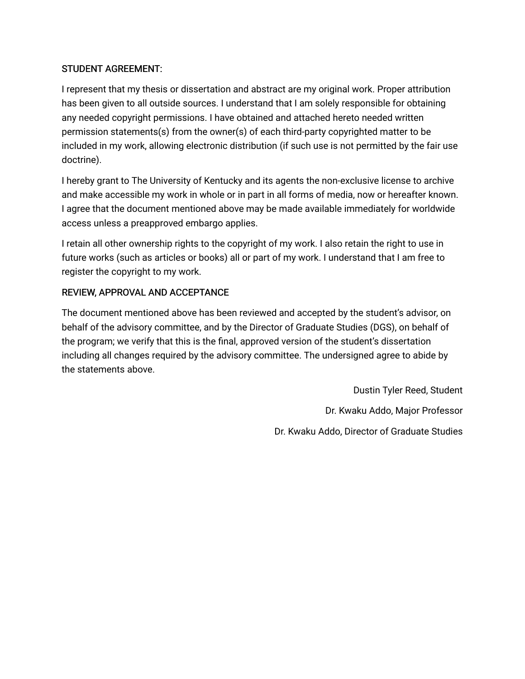### STUDENT AGREEMENT:

I represent that my thesis or dissertation and abstract are my original work. Proper attribution has been given to all outside sources. I understand that I am solely responsible for obtaining any needed copyright permissions. I have obtained and attached hereto needed written permission statements(s) from the owner(s) of each third-party copyrighted matter to be included in my work, allowing electronic distribution (if such use is not permitted by the fair use doctrine).

I hereby grant to The University of Kentucky and its agents the non-exclusive license to archive and make accessible my work in whole or in part in all forms of media, now or hereafter known. I agree that the document mentioned above may be made available immediately for worldwide access unless a preapproved embargo applies.

I retain all other ownership rights to the copyright of my work. I also retain the right to use in future works (such as articles or books) all or part of my work. I understand that I am free to register the copyright to my work.

## REVIEW, APPROVAL AND ACCEPTANCE

The document mentioned above has been reviewed and accepted by the student's advisor, on behalf of the advisory committee, and by the Director of Graduate Studies (DGS), on behalf of the program; we verify that this is the final, approved version of the student's dissertation including all changes required by the advisory committee. The undersigned agree to abide by the statements above.

> Dustin Tyler Reed, Student Dr. Kwaku Addo, Major Professor Dr. Kwaku Addo, Director of Graduate Studies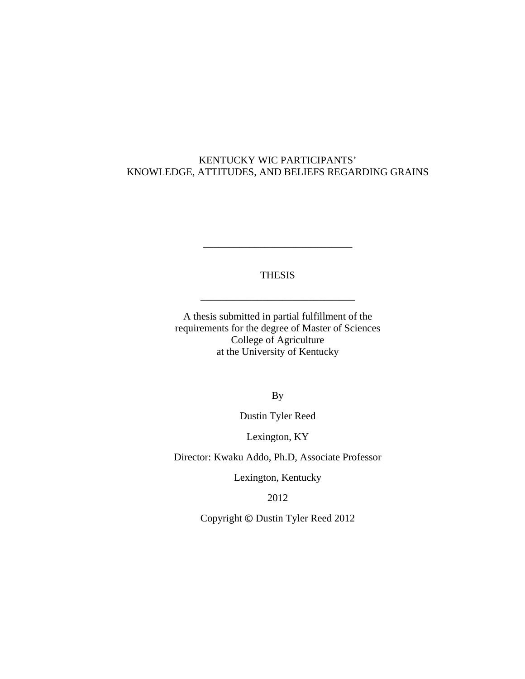### KENTUCKY WIC PARTICIPANTS' KNOWLEDGE, ATTITUDES, AND BELIEFS REGARDING GRAINS

THESIS

\_\_\_\_\_\_\_\_\_\_\_\_\_\_\_\_\_\_\_\_\_\_\_\_\_\_\_\_\_\_

\_\_\_\_\_\_\_\_\_\_\_\_\_\_\_\_\_\_\_\_\_\_\_\_\_\_\_\_\_

A thesis submitted in partial fulfillment of the requirements for the degree of Master of Sciences College of Agriculture at the University of Kentucky

By

Dustin Tyler Reed

Lexington, KY

Director: Kwaku Addo, Ph.D, Associate Professor

Lexington, Kentucky

2012

Copyright © Dustin Tyler Reed 2012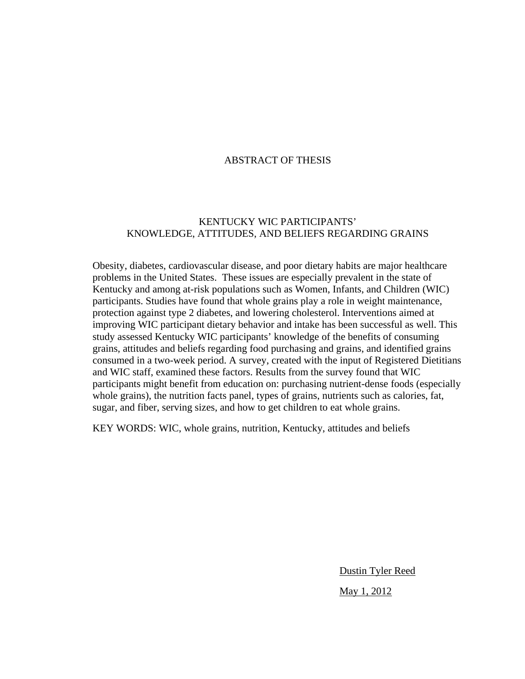### ABSTRACT OF THESIS

### KENTUCKY WIC PARTICIPANTS' KNOWLEDGE, ATTITUDES, AND BELIEFS REGARDING GRAINS

Obesity, diabetes, cardiovascular disease, and poor dietary habits are major healthcare problems in the United States. These issues are especially prevalent in the state of Kentucky and among at-risk populations such as Women, Infants, and Children (WIC) participants. Studies have found that whole grains play a role in weight maintenance, protection against type 2 diabetes, and lowering cholesterol. Interventions aimed at improving WIC participant dietary behavior and intake has been successful as well. This study assessed Kentucky WIC participants' knowledge of the benefits of consuming grains, attitudes and beliefs regarding food purchasing and grains, and identified grains consumed in a two-week period. A survey, created with the input of Registered Dietitians and WIC staff, examined these factors. Results from the survey found that WIC participants might benefit from education on: purchasing nutrient-dense foods (especially whole grains), the nutrition facts panel, types of grains, nutrients such as calories, fat, sugar, and fiber, serving sizes, and how to get children to eat whole grains.

KEY WORDS: WIC, whole grains, nutrition, Kentucky, attitudes and beliefs

Dustin Tyler Reed

May 1, 2012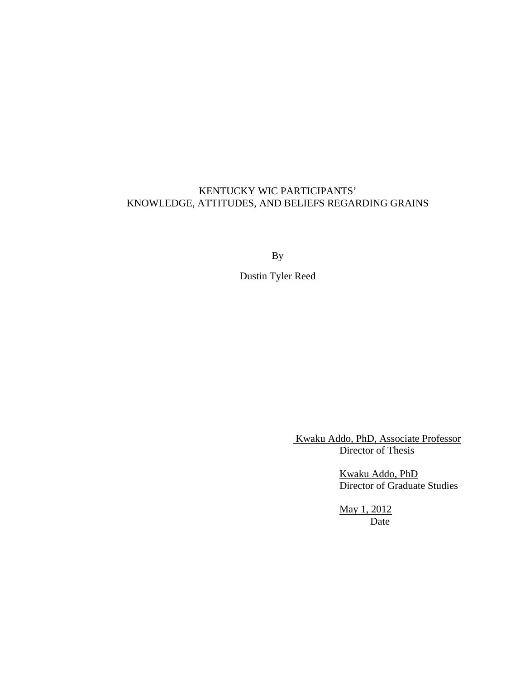### KENTUCKY WIC PARTICIPANTS' KNOWLEDGE, ATTITUDES, AND BELIEFS REGARDING GRAINS

By

Dustin Tyler Reed

 Kwaku Addo, PhD, Associate Professor Director of Thesis

 Kwaku Addo, PhD Director of Graduate Studies

> May 1, 2012 Date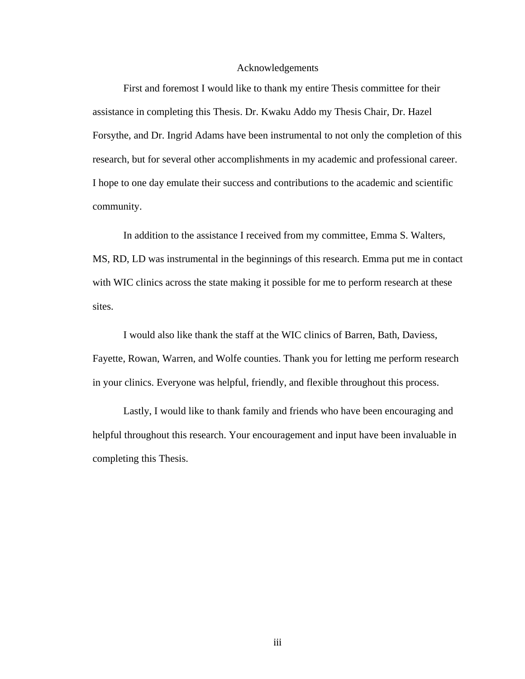#### Acknowledgements

First and foremost I would like to thank my entire Thesis committee for their assistance in completing this Thesis. Dr. Kwaku Addo my Thesis Chair, Dr. Hazel Forsythe, and Dr. Ingrid Adams have been instrumental to not only the completion of this research, but for several other accomplishments in my academic and professional career. I hope to one day emulate their success and contributions to the academic and scientific community.

In addition to the assistance I received from my committee, Emma S. Walters, MS, RD, LD was instrumental in the beginnings of this research. Emma put me in contact with WIC clinics across the state making it possible for me to perform research at these sites.

I would also like thank the staff at the WIC clinics of Barren, Bath, Daviess, Fayette, Rowan, Warren, and Wolfe counties. Thank you for letting me perform research in your clinics. Everyone was helpful, friendly, and flexible throughout this process.

Lastly, I would like to thank family and friends who have been encouraging and helpful throughout this research. Your encouragement and input have been invaluable in completing this Thesis.

iii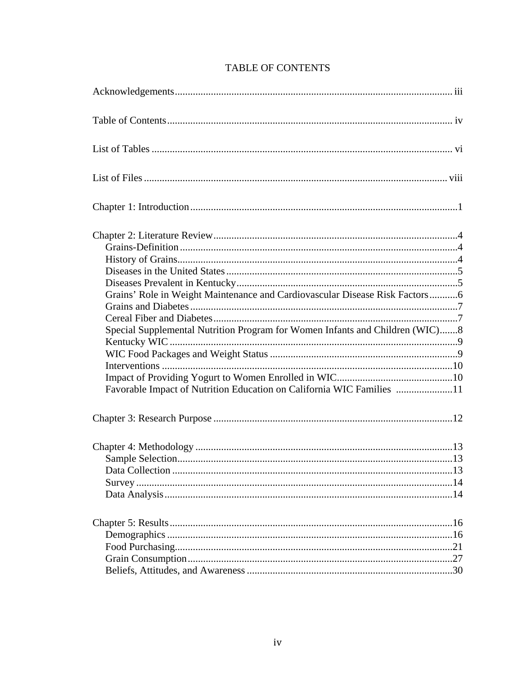| Grains' Role in Weight Maintenance and Cardiovascular Disease Risk Factors6<br>Special Supplemental Nutrition Program for Women Infants and Children (WIC)8<br>Favorable Impact of Nutrition Education on California WIC Families 11 |  |
|--------------------------------------------------------------------------------------------------------------------------------------------------------------------------------------------------------------------------------------|--|
|                                                                                                                                                                                                                                      |  |
|                                                                                                                                                                                                                                      |  |
|                                                                                                                                                                                                                                      |  |

# TABLE OF CONTENTS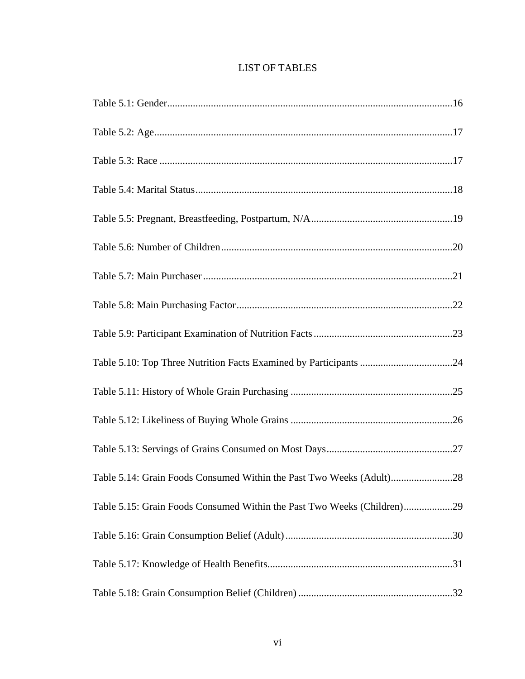| <b>LIST OF TABLES</b> |  |  |
|-----------------------|--|--|
|-----------------------|--|--|

| Table 5.14: Grain Foods Consumed Within the Past Two Weeks (Adult)28 |
|----------------------------------------------------------------------|
|                                                                      |
|                                                                      |
|                                                                      |
|                                                                      |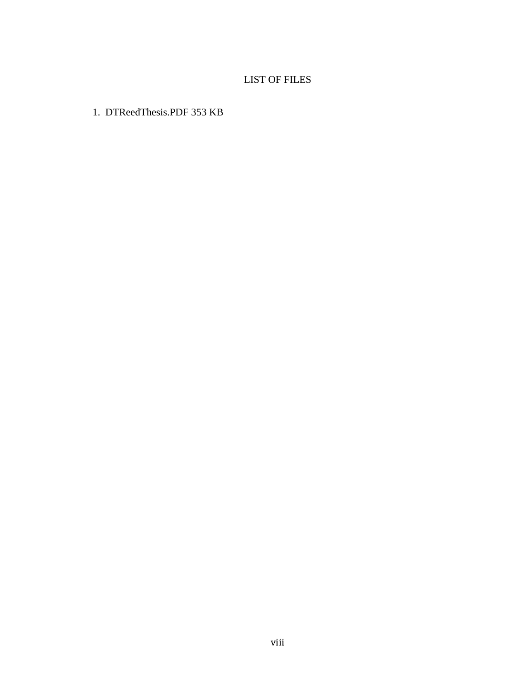# LIST OF FILES

1. DTReedThesis.PDF 353 KB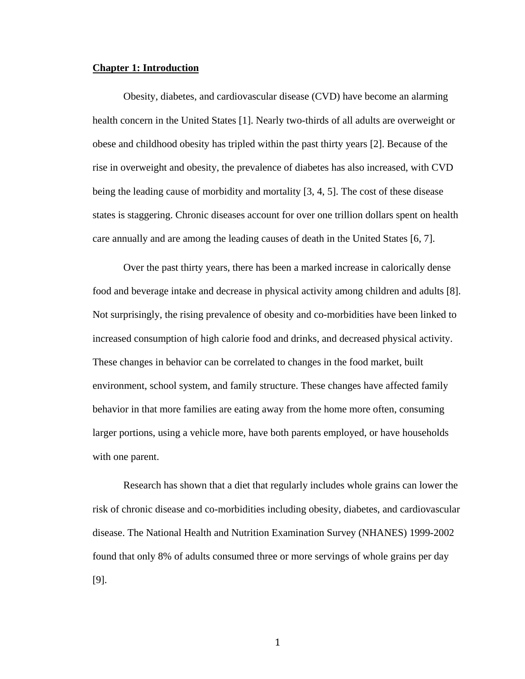#### **Chapter 1: Introduction**

Obesity, diabetes, and cardiovascular disease (CVD) have become an alarming health concern in the United States [1]. Nearly two-thirds of all adults are overweight or obese and childhood obesity has tripled within the past thirty years [2]. Because of the rise in overweight and obesity, the prevalence of diabetes has also increased, with CVD being the leading cause of morbidity and mortality [3, 4, 5]. The cost of these disease states is staggering. Chronic diseases account for over one trillion dollars spent on health care annually and are among the leading causes of death in the United States [6, 7].

Over the past thirty years, there has been a marked increase in calorically dense food and beverage intake and decrease in physical activity among children and adults [8]. Not surprisingly, the rising prevalence of obesity and co-morbidities have been linked to increased consumption of high calorie food and drinks, and decreased physical activity. These changes in behavior can be correlated to changes in the food market, built environment, school system, and family structure. These changes have affected family behavior in that more families are eating away from the home more often, consuming larger portions, using a vehicle more, have both parents employed, or have households with one parent.

Research has shown that a diet that regularly includes whole grains can lower the risk of chronic disease and co-morbidities including obesity, diabetes, and cardiovascular disease. The National Health and Nutrition Examination Survey (NHANES) 1999-2002 found that only 8% of adults consumed three or more servings of whole grains per day [9].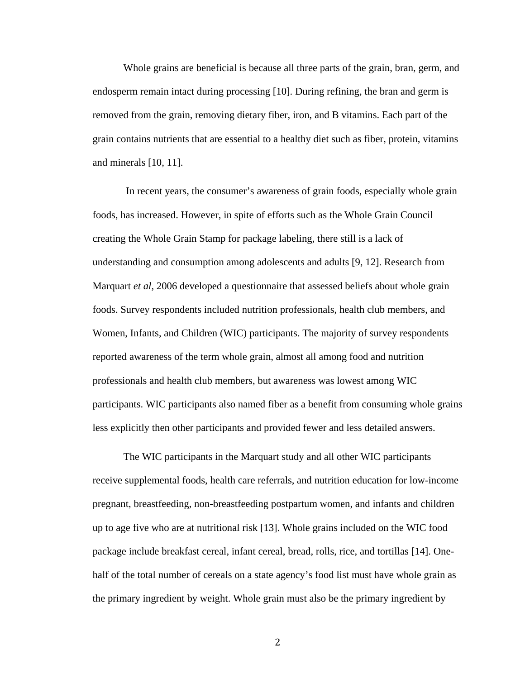Whole grains are beneficial is because all three parts of the grain, bran, germ, and endosperm remain intact during processing [10]. During refining, the bran and germ is removed from the grain, removing dietary fiber, iron, and B vitamins. Each part of the grain contains nutrients that are essential to a healthy diet such as fiber, protein, vitamins and minerals [10, 11].

In recent years, the consumer's awareness of grain foods, especially whole grain foods, has increased. However, in spite of efforts such as the Whole Grain Council creating the Whole Grain Stamp for package labeling, there still is a lack of understanding and consumption among adolescents and adults [9, 12]. Research from Marquart *et al*, 2006 developed a questionnaire that assessed beliefs about whole grain foods. Survey respondents included nutrition professionals, health club members, and Women, Infants, and Children (WIC) participants. The majority of survey respondents reported awareness of the term whole grain, almost all among food and nutrition professionals and health club members, but awareness was lowest among WIC participants. WIC participants also named fiber as a benefit from consuming whole grains less explicitly then other participants and provided fewer and less detailed answers.

The WIC participants in the Marquart study and all other WIC participants receive supplemental foods, health care referrals, and nutrition education for low-income pregnant, breastfeeding, non-breastfeeding postpartum women, and infants and children up to age five who are at nutritional risk [13]. Whole grains included on the WIC food package include breakfast cereal, infant cereal, bread, rolls, rice, and tortillas [14]. Onehalf of the total number of cereals on a state agency's food list must have whole grain as the primary ingredient by weight. Whole grain must also be the primary ingredient by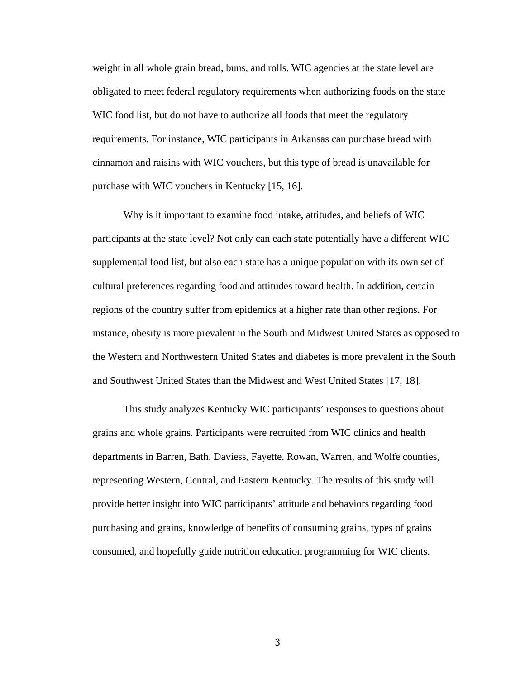weight in all whole grain bread, buns, and rolls. WIC agencies at the state level are obligated to meet federal regulatory requirements when authorizing foods on the state WIC food list, but do not have to authorize all foods that meet the regulatory requirements. For instance, WIC participants in Arkansas can purchase bread with cinnamon and raisins with WIC vouchers, but this type of bread is unavailable for purchase with WIC vouchers in Kentucky [15, 16].

Why is it important to examine food intake, attitudes, and beliefs of WIC participants at the state level? Not only can each state potentially have a different WIC supplemental food list, but also each state has a unique population with its own set of cultural preferences regarding food and attitudes toward health. In addition, certain regions of the country suffer from epidemics at a higher rate than other regions. For instance, obesity is more prevalent in the South and Midwest United States as opposed to the Western and Northwestern United States and diabetes is more prevalent in the South and Southwest United States than the Midwest and West United States [17, 18].

This study analyzes Kentucky WIC participants' responses to questions about grains and whole grains. Participants were recruited from WIC clinics and health departments in Barren, Bath, Daviess, Fayette, Rowan, Warren, and Wolfe counties, representing Western, Central, and Eastern Kentucky. The results of this study will provide better insight into WIC participants' attitude and behaviors regarding food purchasing and grains, knowledge of benefits of consuming grains, types of grains consumed, and hopefully guide nutrition education programming for WIC clients.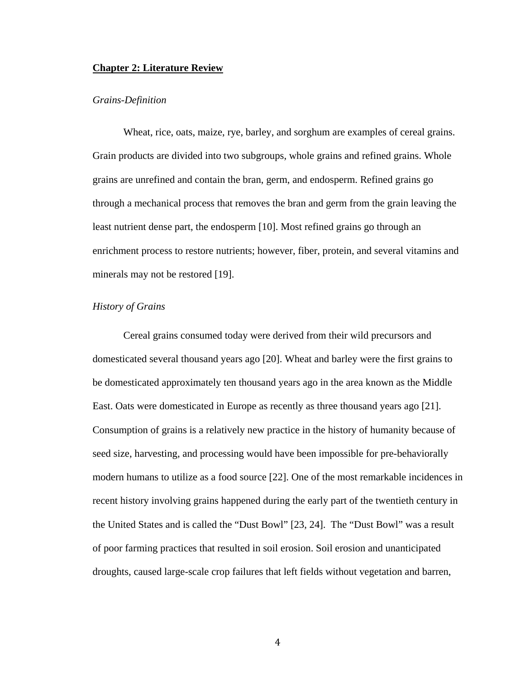### **Chapter 2: Literature Review**

#### *Grains-Definition*

Wheat, rice, oats, maize, rye, barley, and sorghum are examples of cereal grains. Grain products are divided into two subgroups, whole grains and refined grains. Whole grains are unrefined and contain the bran, germ, and endosperm. Refined grains go through a mechanical process that removes the bran and germ from the grain leaving the least nutrient dense part, the endosperm [10]. Most refined grains go through an enrichment process to restore nutrients; however, fiber, protein, and several vitamins and minerals may not be restored [19].

### *History of Grains*

Cereal grains consumed today were derived from their wild precursors and domesticated several thousand years ago [20]. Wheat and barley were the first grains to be domesticated approximately ten thousand years ago in the area known as the Middle East. Oats were domesticated in Europe as recently as three thousand years ago [21]. Consumption of grains is a relatively new practice in the history of humanity because of seed size, harvesting, and processing would have been impossible for pre-behaviorally modern humans to utilize as a food source [22]. One of the most remarkable incidences in recent history involving grains happened during the early part of the twentieth century in the United States and is called the "Dust Bowl" [23, 24]. The "Dust Bowl" was a result of poor farming practices that resulted in soil erosion. Soil erosion and unanticipated droughts, caused large-scale crop failures that left fields without vegetation and barren,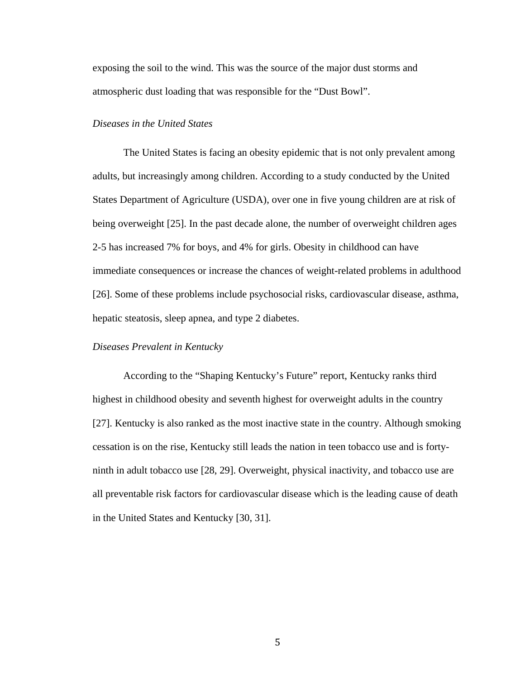exposing the soil to the wind. This was the source of the major dust storms and atmospheric dust loading that was responsible for the "Dust Bowl".

### *Diseases in the United States*

The United States is facing an obesity epidemic that is not only prevalent among adults, but increasingly among children. According to a study conducted by the United States Department of Agriculture (USDA), over one in five young children are at risk of being overweight [25]. In the past decade alone, the number of overweight children ages 2-5 has increased 7% for boys, and 4% for girls. Obesity in childhood can have immediate consequences or increase the chances of weight-related problems in adulthood [26]. Some of these problems include psychosocial risks, cardiovascular disease, asthma, hepatic steatosis, sleep apnea, and type 2 diabetes.

### *Diseases Prevalent in Kentucky*

According to the "Shaping Kentucky's Future" report, Kentucky ranks third highest in childhood obesity and seventh highest for overweight adults in the country [27]. Kentucky is also ranked as the most inactive state in the country. Although smoking cessation is on the rise, Kentucky still leads the nation in teen tobacco use and is fortyninth in adult tobacco use [28, 29]. Overweight, physical inactivity, and tobacco use are all preventable risk factors for cardiovascular disease which is the leading cause of death in the United States and Kentucky [30, 31].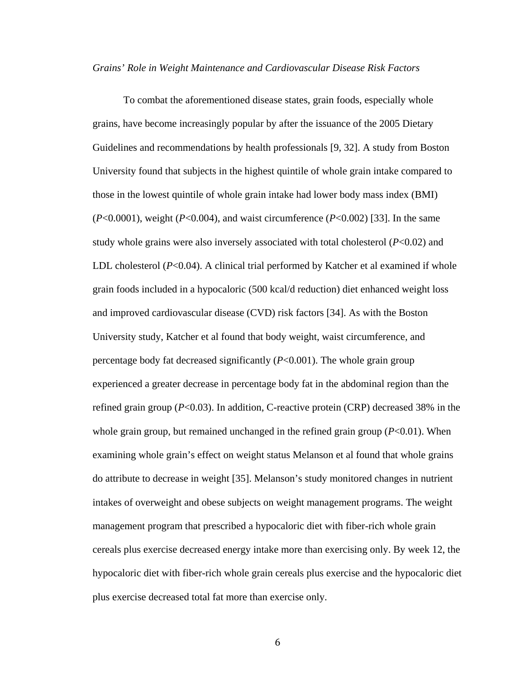#### *Grains' Role in Weight Maintenance and Cardiovascular Disease Risk Factors*

To combat the aforementioned disease states, grain foods, especially whole grains, have become increasingly popular by after the issuance of the 2005 Dietary Guidelines and recommendations by health professionals [9, 32]. A study from Boston University found that subjects in the highest quintile of whole grain intake compared to those in the lowest quintile of whole grain intake had lower body mass index (BMI) (*P*<0.0001), weight (*P*<0.004), and waist circumference (*P*<0.002) [33]. In the same study whole grains were also inversely associated with total cholesterol (*P*<0.02) and LDL cholesterol (*P*<0.04). A clinical trial performed by Katcher et al examined if whole grain foods included in a hypocaloric (500 kcal/d reduction) diet enhanced weight loss and improved cardiovascular disease (CVD) risk factors [34]. As with the Boston University study, Katcher et al found that body weight, waist circumference, and percentage body fat decreased significantly (*P*<0.001). The whole grain group experienced a greater decrease in percentage body fat in the abdominal region than the refined grain group (*P*<0.03). In addition, C-reactive protein (CRP) decreased 38% in the whole grain group, but remained unchanged in the refined grain group (*P*<0.01). When examining whole grain's effect on weight status Melanson et al found that whole grains do attribute to decrease in weight [35]. Melanson's study monitored changes in nutrient intakes of overweight and obese subjects on weight management programs. The weight management program that prescribed a hypocaloric diet with fiber-rich whole grain cereals plus exercise decreased energy intake more than exercising only. By week 12, the hypocaloric diet with fiber-rich whole grain cereals plus exercise and the hypocaloric diet plus exercise decreased total fat more than exercise only.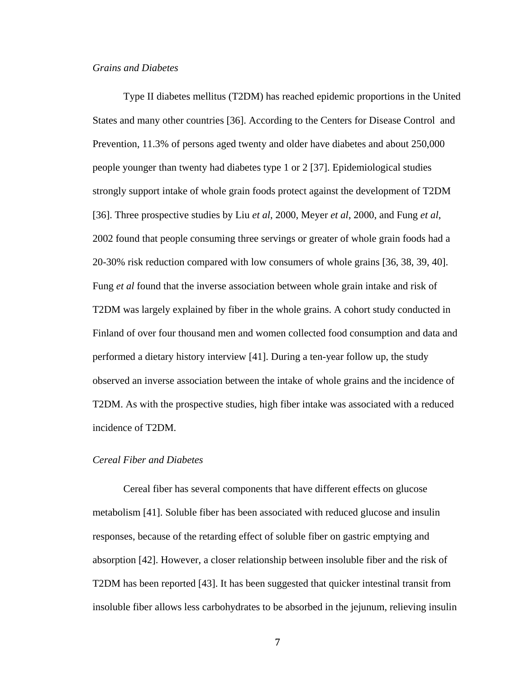### *Grains and Diabetes*

Type II diabetes mellitus (T2DM) has reached epidemic proportions in the United States and many other countries [36]. According to the Centers for Disease Control and Prevention, 11.3% of persons aged twenty and older have diabetes and about 250,000 people younger than twenty had diabetes type 1 or 2 [37]. Epidemiological studies strongly support intake of whole grain foods protect against the development of T2DM [36]. Three prospective studies by Liu *et al*, 2000, Meyer *et al*, 2000, and Fung *et al*, 2002 found that people consuming three servings or greater of whole grain foods had a 20-30% risk reduction compared with low consumers of whole grains [36, 38, 39, 40]. Fung *et al* found that the inverse association between whole grain intake and risk of T2DM was largely explained by fiber in the whole grains. A cohort study conducted in Finland of over four thousand men and women collected food consumption and data and performed a dietary history interview [41]. During a ten-year follow up, the study observed an inverse association between the intake of whole grains and the incidence of T2DM. As with the prospective studies, high fiber intake was associated with a reduced incidence of T2DM.

### *Cereal Fiber and Diabetes*

Cereal fiber has several components that have different effects on glucose metabolism [41]. Soluble fiber has been associated with reduced glucose and insulin responses, because of the retarding effect of soluble fiber on gastric emptying and absorption [42]. However, a closer relationship between insoluble fiber and the risk of T2DM has been reported [43]. It has been suggested that quicker intestinal transit from insoluble fiber allows less carbohydrates to be absorbed in the jejunum, relieving insulin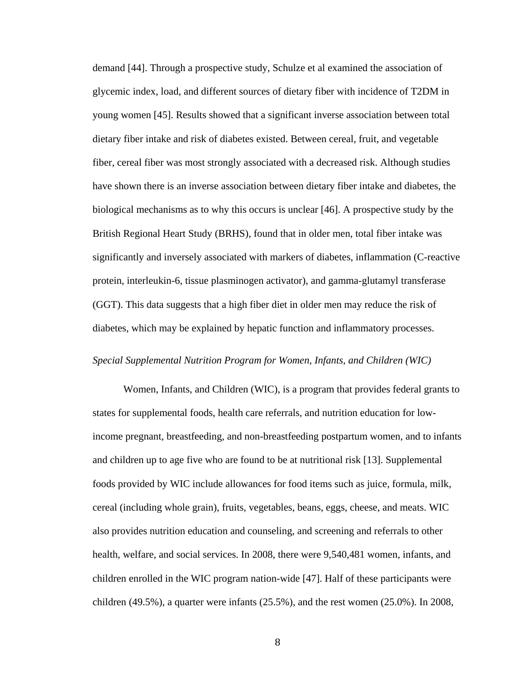demand [44]. Through a prospective study, Schulze et al examined the association of glycemic index, load, and different sources of dietary fiber with incidence of T2DM in young women [45]. Results showed that a significant inverse association between total dietary fiber intake and risk of diabetes existed. Between cereal, fruit, and vegetable fiber, cereal fiber was most strongly associated with a decreased risk. Although studies have shown there is an inverse association between dietary fiber intake and diabetes, the biological mechanisms as to why this occurs is unclear [46]. A prospective study by the British Regional Heart Study (BRHS), found that in older men, total fiber intake was significantly and inversely associated with markers of diabetes, inflammation (C-reactive protein, interleukin-6, tissue plasminogen activator), and gamma-glutamyl transferase (GGT). This data suggests that a high fiber diet in older men may reduce the risk of diabetes, which may be explained by hepatic function and inflammatory processes.

### *Special Supplemental Nutrition Program for Women, Infants, and Children (WIC)*

Women, Infants, and Children (WIC), is a program that provides federal grants to states for supplemental foods, health care referrals, and nutrition education for lowincome pregnant, breastfeeding, and non-breastfeeding postpartum women, and to infants and children up to age five who are found to be at nutritional risk [13]. Supplemental foods provided by WIC include allowances for food items such as juice, formula, milk, cereal (including whole grain), fruits, vegetables, beans, eggs, cheese, and meats. WIC also provides nutrition education and counseling, and screening and referrals to other health, welfare, and social services. In 2008, there were 9,540,481 women, infants, and children enrolled in the WIC program nation-wide [47]. Half of these participants were children (49.5%), a quarter were infants (25.5%), and the rest women (25.0%). In 2008,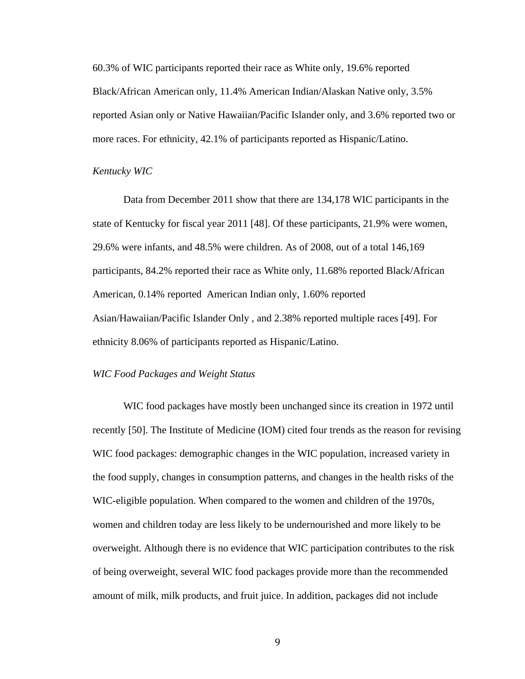60.3% of WIC participants reported their race as White only, 19.6% reported Black/African American only, 11.4% American Indian/Alaskan Native only, 3.5% reported Asian only or Native Hawaiian/Pacific Islander only, and 3.6% reported two or more races. For ethnicity, 42.1% of participants reported as Hispanic/Latino.

#### *Kentucky WIC*

Data from December 2011 show that there are 134,178 WIC participants in the state of Kentucky for fiscal year 2011 [48]. Of these participants, 21.9% were women, 29.6% were infants, and 48.5% were children. As of 2008, out of a total 146,169 participants, 84.2% reported their race as White only, 11.68% reported Black/African American, 0.14% reported American Indian only, 1.60% reported Asian/Hawaiian/Pacific Islander Only , and 2.38% reported multiple races [49]. For ethnicity 8.06% of participants reported as Hispanic/Latino.

### *WIC Food Packages and Weight Status*

WIC food packages have mostly been unchanged since its creation in 1972 until recently [50]. The Institute of Medicine (IOM) cited four trends as the reason for revising WIC food packages: demographic changes in the WIC population, increased variety in the food supply, changes in consumption patterns, and changes in the health risks of the WIC-eligible population. When compared to the women and children of the 1970s, women and children today are less likely to be undernourished and more likely to be overweight. Although there is no evidence that WIC participation contributes to the risk of being overweight, several WIC food packages provide more than the recommended amount of milk, milk products, and fruit juice. In addition, packages did not include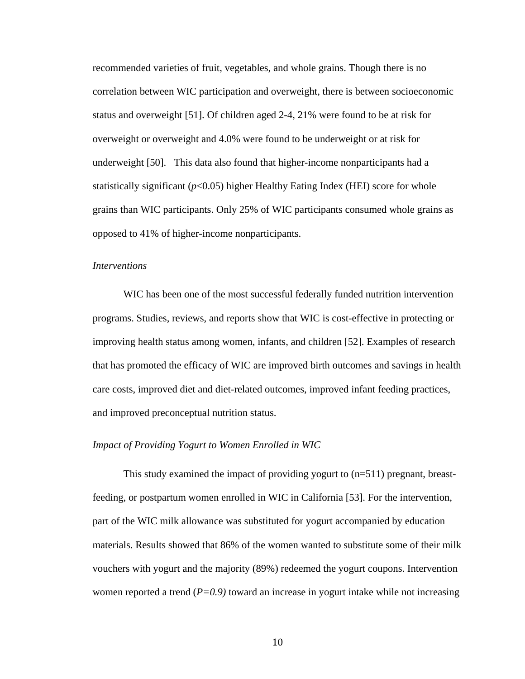recommended varieties of fruit, vegetables, and whole grains. Though there is no correlation between WIC participation and overweight, there is between socioeconomic status and overweight [51]. Of children aged 2-4, 21% were found to be at risk for overweight or overweight and 4.0% were found to be underweight or at risk for underweight [50]. This data also found that higher-income nonparticipants had a statistically significant  $(p<0.05)$  higher Healthy Eating Index (HEI) score for whole grains than WIC participants. Only 25% of WIC participants consumed whole grains as opposed to 41% of higher-income nonparticipants.

### *Interventions*

WIC has been one of the most successful federally funded nutrition intervention programs. Studies, reviews, and reports show that WIC is cost-effective in protecting or improving health status among women, infants, and children [52]. Examples of research that has promoted the efficacy of WIC are improved birth outcomes and savings in health care costs, improved diet and diet-related outcomes, improved infant feeding practices, and improved preconceptual nutrition status.

### *Impact of Providing Yogurt to Women Enrolled in WIC*

This study examined the impact of providing yogurt to (n=511) pregnant, breastfeeding, or postpartum women enrolled in WIC in California [53]. For the intervention, part of the WIC milk allowance was substituted for yogurt accompanied by education materials. Results showed that 86% of the women wanted to substitute some of their milk vouchers with yogurt and the majority (89%) redeemed the yogurt coupons. Intervention women reported a trend (*P=0.9*) toward an increase in yogurt intake while not increasing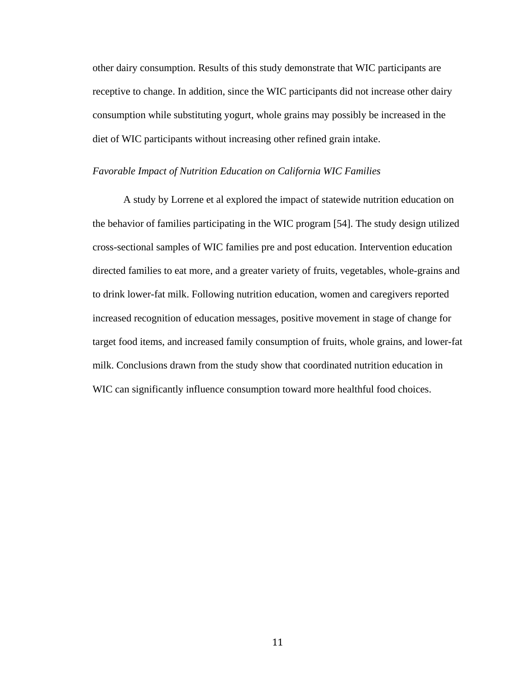other dairy consumption. Results of this study demonstrate that WIC participants are receptive to change. In addition, since the WIC participants did not increase other dairy consumption while substituting yogurt, whole grains may possibly be increased in the diet of WIC participants without increasing other refined grain intake.

#### *Favorable Impact of Nutrition Education on California WIC Families*

A study by Lorrene et al explored the impact of statewide nutrition education on the behavior of families participating in the WIC program [54]. The study design utilized cross-sectional samples of WIC families pre and post education. Intervention education directed families to eat more, and a greater variety of fruits, vegetables, whole-grains and to drink lower-fat milk. Following nutrition education, women and caregivers reported increased recognition of education messages, positive movement in stage of change for target food items, and increased family consumption of fruits, whole grains, and lower-fat milk. Conclusions drawn from the study show that coordinated nutrition education in WIC can significantly influence consumption toward more healthful food choices.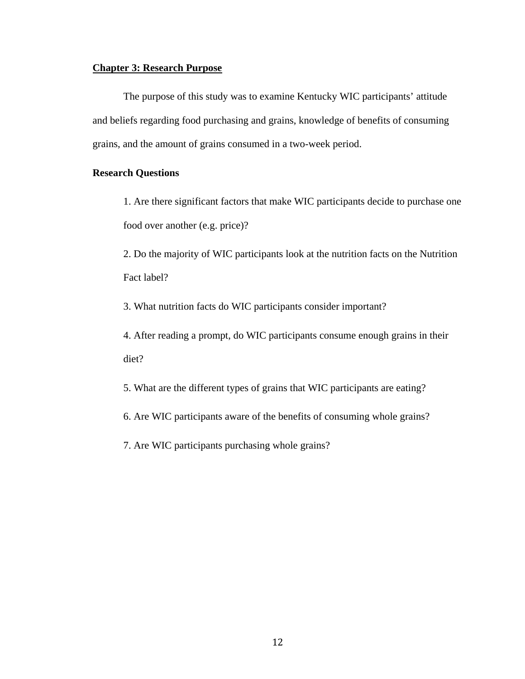### **Chapter 3: Research Purpose**

The purpose of this study was to examine Kentucky WIC participants' attitude and beliefs regarding food purchasing and grains, knowledge of benefits of consuming grains, and the amount of grains consumed in a two-week period.

### **Research Questions**

1. Are there significant factors that make WIC participants decide to purchase one food over another (e.g. price)?

2. Do the majority of WIC participants look at the nutrition facts on the Nutrition Fact label?

3. What nutrition facts do WIC participants consider important?

4. After reading a prompt, do WIC participants consume enough grains in their diet?

5. What are the different types of grains that WIC participants are eating?

6. Are WIC participants aware of the benefits of consuming whole grains?

7. Are WIC participants purchasing whole grains?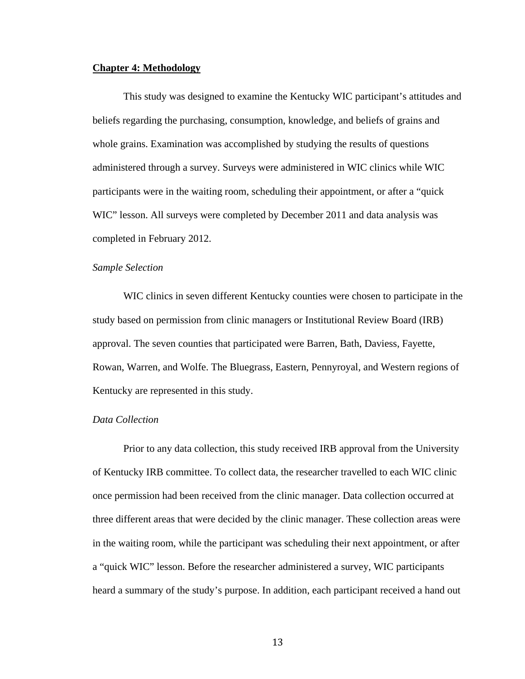#### **Chapter 4: Methodology**

This study was designed to examine the Kentucky WIC participant's attitudes and beliefs regarding the purchasing, consumption, knowledge, and beliefs of grains and whole grains. Examination was accomplished by studying the results of questions administered through a survey. Surveys were administered in WIC clinics while WIC participants were in the waiting room, scheduling their appointment, or after a "quick WIC" lesson. All surveys were completed by December 2011 and data analysis was completed in February 2012.

#### *Sample Selection*

WIC clinics in seven different Kentucky counties were chosen to participate in the study based on permission from clinic managers or Institutional Review Board (IRB) approval. The seven counties that participated were Barren, Bath, Daviess, Fayette, Rowan, Warren, and Wolfe. The Bluegrass, Eastern, Pennyroyal, and Western regions of Kentucky are represented in this study.

### *Data Collection*

Prior to any data collection, this study received IRB approval from the University of Kentucky IRB committee. To collect data, the researcher travelled to each WIC clinic once permission had been received from the clinic manager. Data collection occurred at three different areas that were decided by the clinic manager. These collection areas were in the waiting room, while the participant was scheduling their next appointment, or after a "quick WIC" lesson. Before the researcher administered a survey, WIC participants heard a summary of the study's purpose. In addition, each participant received a hand out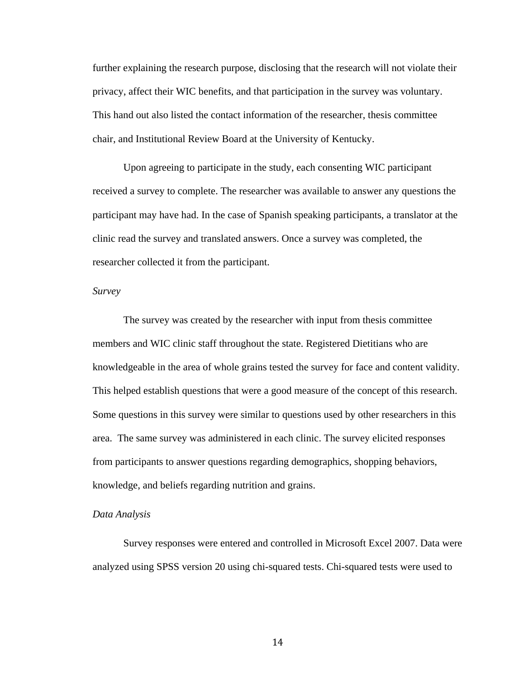further explaining the research purpose, disclosing that the research will not violate their privacy, affect their WIC benefits, and that participation in the survey was voluntary. This hand out also listed the contact information of the researcher, thesis committee chair, and Institutional Review Board at the University of Kentucky.

Upon agreeing to participate in the study, each consenting WIC participant received a survey to complete. The researcher was available to answer any questions the participant may have had. In the case of Spanish speaking participants, a translator at the clinic read the survey and translated answers. Once a survey was completed, the researcher collected it from the participant.

#### *Survey*

The survey was created by the researcher with input from thesis committee members and WIC clinic staff throughout the state. Registered Dietitians who are knowledgeable in the area of whole grains tested the survey for face and content validity. This helped establish questions that were a good measure of the concept of this research. Some questions in this survey were similar to questions used by other researchers in this area. The same survey was administered in each clinic. The survey elicited responses from participants to answer questions regarding demographics, shopping behaviors, knowledge, and beliefs regarding nutrition and grains.

### *Data Analysis*

Survey responses were entered and controlled in Microsoft Excel 2007. Data were analyzed using SPSS version 20 using chi-squared tests. Chi-squared tests were used to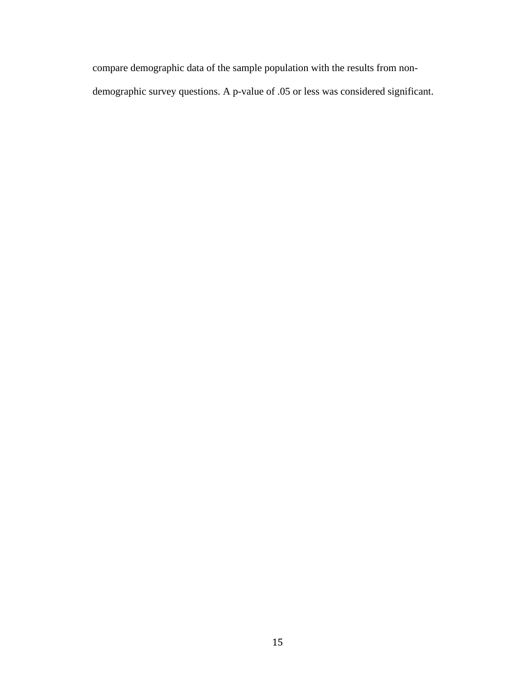compare demographic data of the sample population with the results from nondemographic survey questions. A p-value of .05 or less was considered significant.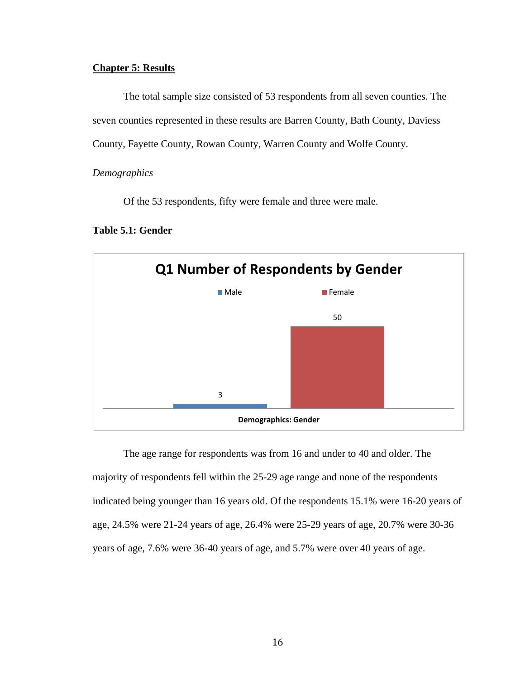### **Chapter 5: Results**

The total sample size consisted of 53 respondents from all seven counties. The seven counties represented in these results are Barren County, Bath County, Daviess County, Fayette County, Rowan County, Warren County and Wolfe County.

#### *Demographics*

Of the 53 respondents, fifty were female and three were male.

### **Table 5.1: Gender**



The age range for respondents was from 16 and under to 40 and older. The majority of respondents fell within the 25-29 age range and none of the respondents indicated being younger than 16 years old. Of the respondents 15.1% were 16-20 years of age, 24.5% were 21-24 years of age, 26.4% were 25-29 years of age, 20.7% were 30-36 years of age, 7.6% were 36-40 years of age, and 5.7% were over 40 years of age.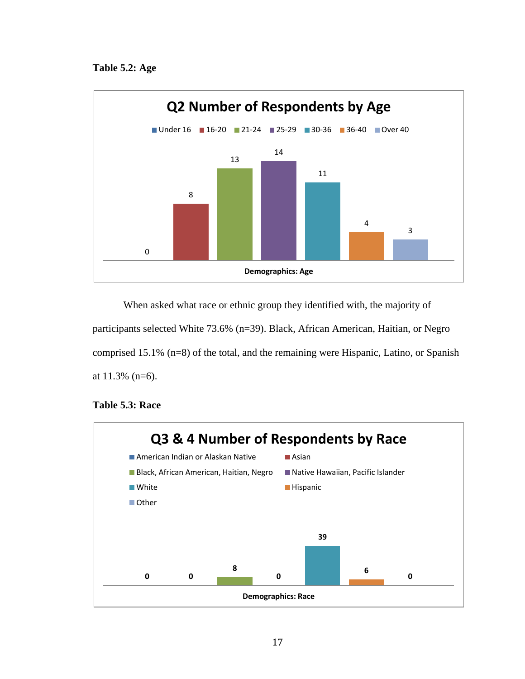

When asked what race or ethnic group they identified with, the majority of participants selected White 73.6% (n=39). Black, African American, Haitian, or Negro comprised 15.1% (n=8) of the total, and the remaining were Hispanic, Latino, or Spanish at 11.3% (n=6).



### **Table 5.3: Race**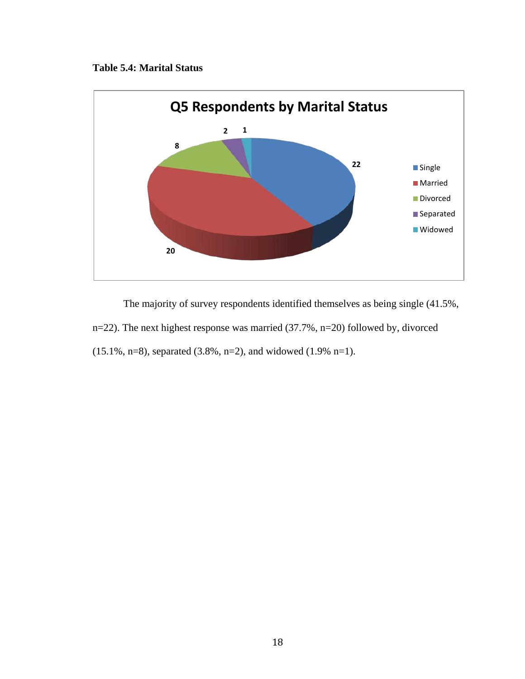### **Table 5.4: Marital Status**



The majority of survey respondents identified themselves as being single (41.5%, n=22). The next highest response was married (37.7%, n=20) followed by, divorced (15.1%, n=8), separated (3.8%, n=2), and widowed (1.9% n=1).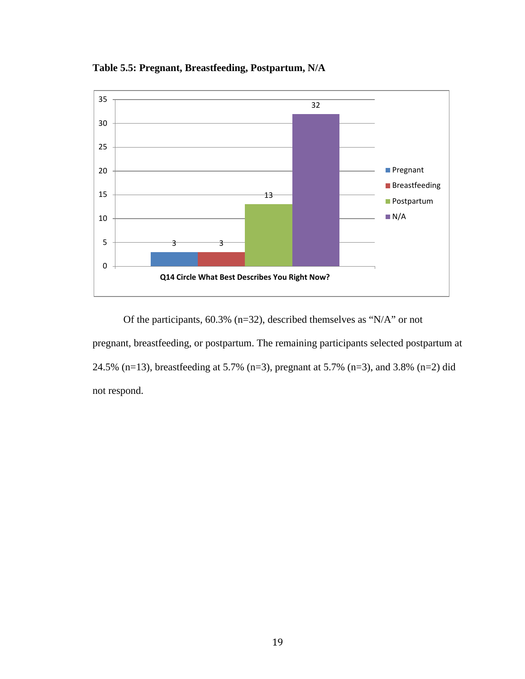

**Table 5.5: Pregnant, Breastfeeding, Postpartum, N/A**

Of the participants, 60.3% (n=32), described themselves as "N/A" or not pregnant, breastfeeding, or postpartum. The remaining participants selected postpartum at 24.5% (n=13), breastfeeding at 5.7% (n=3), pregnant at 5.7% (n=3), and 3.8% (n=2) did not respond.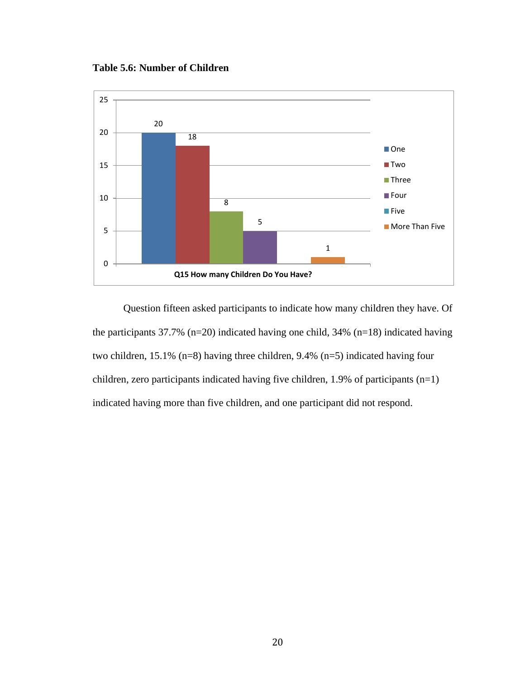**Table 5.6: Number of Children**



Question fifteen asked participants to indicate how many children they have. Of the participants  $37.7\%$  (n=20) indicated having one child,  $34\%$  (n=18) indicated having two children, 15.1% (n=8) having three children, 9.4% (n=5) indicated having four children, zero participants indicated having five children, 1.9% of participants (n=1) indicated having more than five children, and one participant did not respond.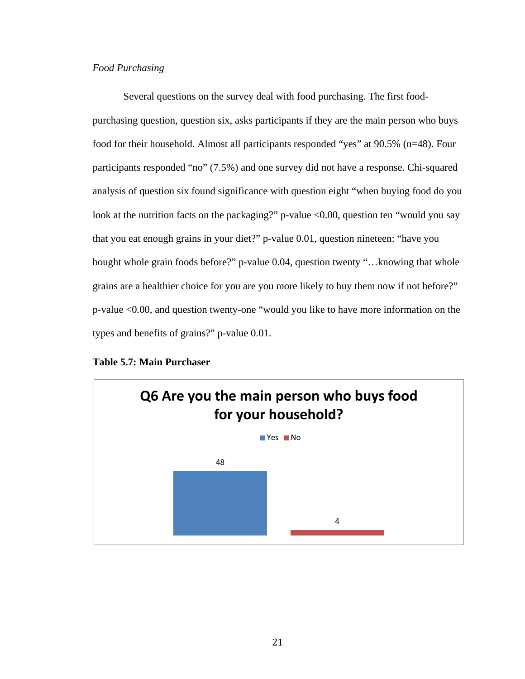### *Food Purchasing*

Several questions on the survey deal with food purchasing. The first foodpurchasing question, question six, asks participants if they are the main person who buys food for their household. Almost all participants responded "yes" at 90.5% (n=48). Four participants responded "no" (7.5%) and one survey did not have a response. Chi-squared analysis of question six found significance with question eight "when buying food do you look at the nutrition facts on the packaging?" p-value <0.00, question ten "would you say that you eat enough grains in your diet?" p-value 0.01, question nineteen: "have you bought whole grain foods before?" p-value 0.04, question twenty "…knowing that whole grains are a healthier choice for you are you more likely to buy them now if not before?" p-value <0.00, and question twenty-one "would you like to have more information on the types and benefits of grains?" p-value 0.01.



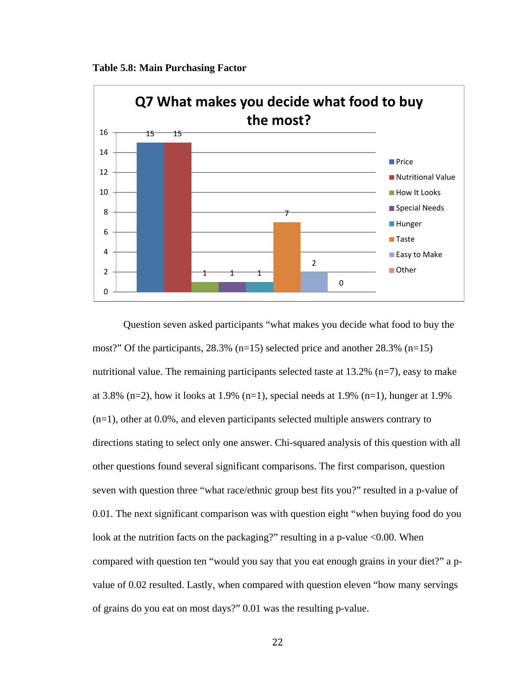



Question seven asked participants "what makes you decide what food to buy the most?" Of the participants,  $28.3\%$  (n=15) selected price and another  $28.3\%$  (n=15) nutritional value. The remaining participants selected taste at  $13.2\%$  (n=7), easy to make at 3.8% (n=2), how it looks at 1.9% (n=1), special needs at 1.9% (n=1), hunger at 1.9% (n=1), other at 0.0%, and eleven participants selected multiple answers contrary to directions stating to select only one answer. Chi-squared analysis of this question with all other questions found several significant comparisons. The first comparison, question seven with question three "what race/ethnic group best fits you?" resulted in a p-value of 0.01. The next significant comparison was with question eight "when buying food do you look at the nutrition facts on the packaging?" resulting in a p-value  $<0.00$ . When compared with question ten "would you say that you eat enough grains in your diet?" a pvalue of 0.02 resulted. Lastly, when compared with question eleven "how many servings of grains do you eat on most days?" 0.01 was the resulting p-value.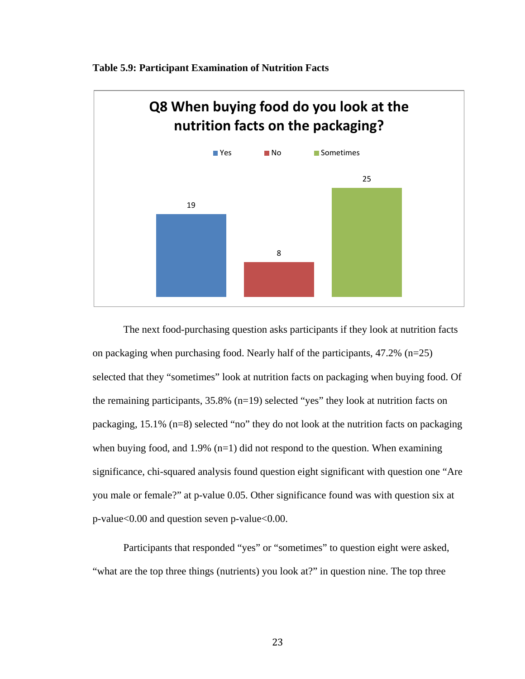

**Table 5.9: Participant Examination of Nutrition Facts**

The next food-purchasing question asks participants if they look at nutrition facts on packaging when purchasing food. Nearly half of the participants, 47.2% (n=25) selected that they "sometimes" look at nutrition facts on packaging when buying food. Of the remaining participants, 35.8% (n=19) selected "yes" they look at nutrition facts on packaging, 15.1% (n=8) selected "no" they do not look at the nutrition facts on packaging when buying food, and  $1.9\%$  (n=1) did not respond to the question. When examining significance, chi-squared analysis found question eight significant with question one "Are you male or female?" at p-value 0.05. Other significance found was with question six at p-value<0.00 and question seven p-value<0.00.

Participants that responded "yes" or "sometimes" to question eight were asked, "what are the top three things (nutrients) you look at?" in question nine. The top three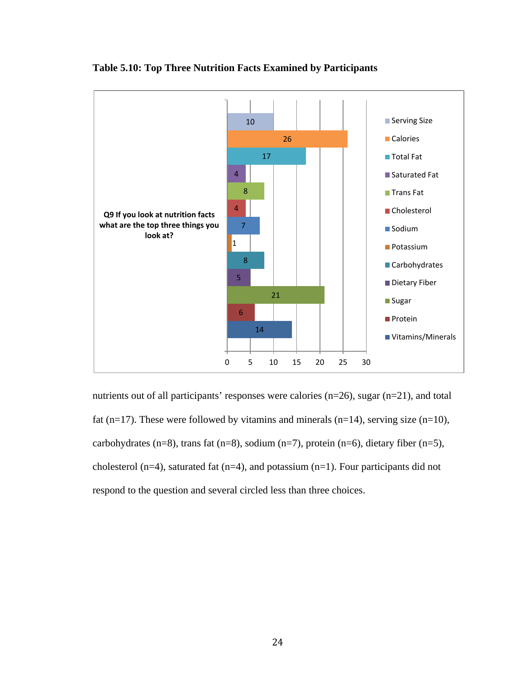

**Table 5.10: Top Three Nutrition Facts Examined by Participants**

nutrients out of all participants' responses were calories (n=26), sugar (n=21), and total fat (n=17). These were followed by vitamins and minerals (n=14), serving size (n=10), carbohydrates (n=8), trans fat (n=8), sodium (n=7), protein (n=6), dietary fiber (n=5), cholesterol (n=4), saturated fat (n=4), and potassium (n=1). Four participants did not respond to the question and several circled less than three choices.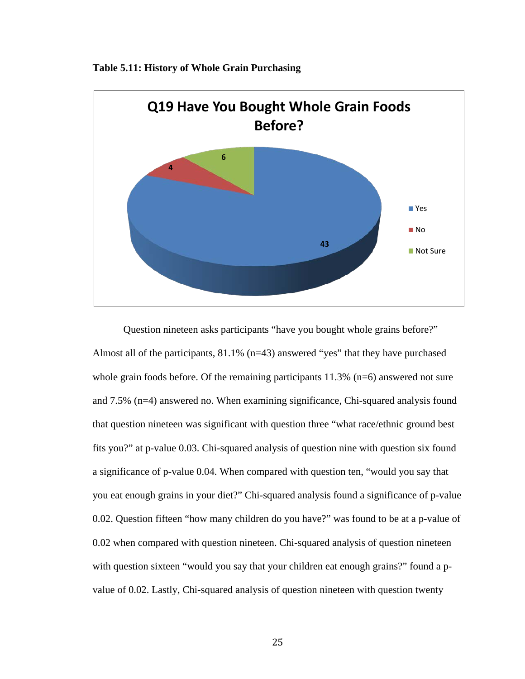



Question nineteen asks participants "have you bought whole grains before?" Almost all of the participants, 81.1% (n=43) answered "yes" that they have purchased whole grain foods before. Of the remaining participants 11.3% (n=6) answered not sure and 7.5% (n=4) answered no. When examining significance, Chi-squared analysis found that question nineteen was significant with question three "what race/ethnic ground best fits you?" at p-value 0.03. Chi-squared analysis of question nine with question six found a significance of p-value 0.04. When compared with question ten, "would you say that you eat enough grains in your diet?" Chi-squared analysis found a significance of p-value 0.02. Question fifteen "how many children do you have?" was found to be at a p-value of 0.02 when compared with question nineteen. Chi-squared analysis of question nineteen with question sixteen "would you say that your children eat enough grains?" found a pvalue of 0.02. Lastly, Chi-squared analysis of question nineteen with question twenty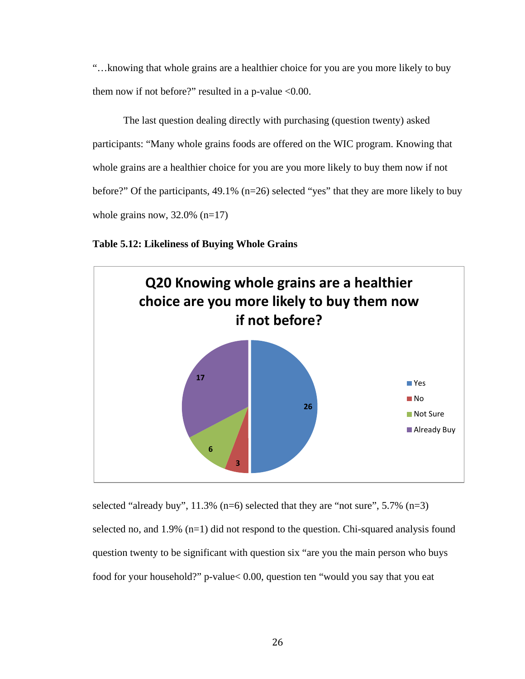"…knowing that whole grains are a healthier choice for you are you more likely to buy them now if not before?" resulted in a p-value  $<0.00$ .

The last question dealing directly with purchasing (question twenty) asked participants: "Many whole grains foods are offered on the WIC program. Knowing that whole grains are a healthier choice for you are you more likely to buy them now if not before?" Of the participants, 49.1% (n=26) selected "yes" that they are more likely to buy whole grains now,  $32.0\%$  (n=17)

**Table 5.12: Likeliness of Buying Whole Grains**



selected "already buy",  $11.3\%$  (n=6) selected that they are "not sure",  $5.7\%$  (n=3) selected no, and 1.9% (n=1) did not respond to the question. Chi-squared analysis found question twenty to be significant with question six "are you the main person who buys food for your household?" p-value< 0.00, question ten "would you say that you eat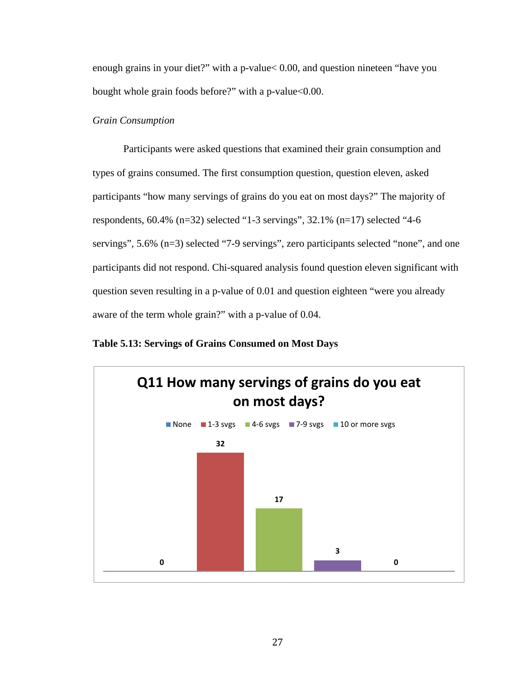enough grains in your diet?" with a p-value< 0.00, and question nineteen "have you bought whole grain foods before?" with a p-value<0.00.

### *Grain Consumption*

Participants were asked questions that examined their grain consumption and types of grains consumed. The first consumption question, question eleven, asked participants "how many servings of grains do you eat on most days?" The majority of respondents,  $60.4\%$  (n=32) selected "1-3 servings", 32.1% (n=17) selected "4-6 servings", 5.6% (n=3) selected "7-9 servings", zero participants selected "none", and one participants did not respond. Chi-squared analysis found question eleven significant with question seven resulting in a p-value of 0.01 and question eighteen "were you already aware of the term whole grain?" with a p-value of 0.04.

**Table 5.13: Servings of Grains Consumed on Most Days**

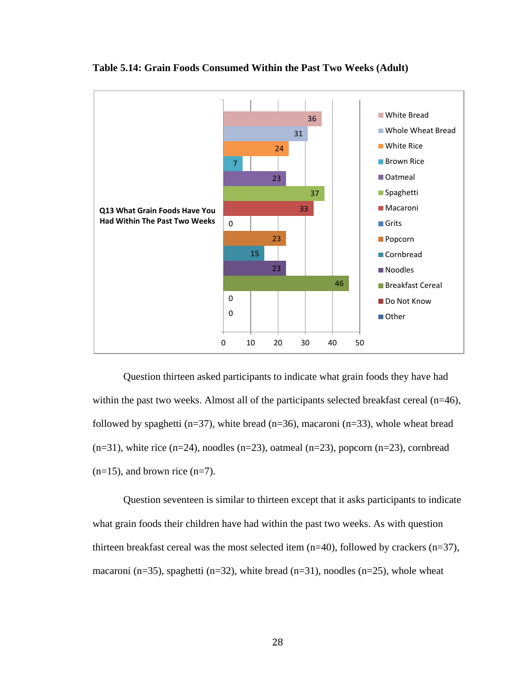



Question thirteen asked participants to indicate what grain foods they have had within the past two weeks. Almost all of the participants selected breakfast cereal  $(n=46)$ , followed by spaghetti ( $n=37$ ), white bread ( $n=36$ ), macaroni ( $n=33$ ), whole wheat bread  $(n=31)$ , white rice  $(n=24)$ , noodles  $(n=23)$ , oatmeal  $(n=23)$ , popcorn  $(n=23)$ , cornbread  $(n=15)$ , and brown rice  $(n=7)$ .

Question seventeen is similar to thirteen except that it asks participants to indicate what grain foods their children have had within the past two weeks. As with question thirteen breakfast cereal was the most selected item  $(n=40)$ , followed by crackers  $(n=37)$ , macaroni (n=35), spaghetti (n=32), white bread (n=31), noodles (n=25), whole wheat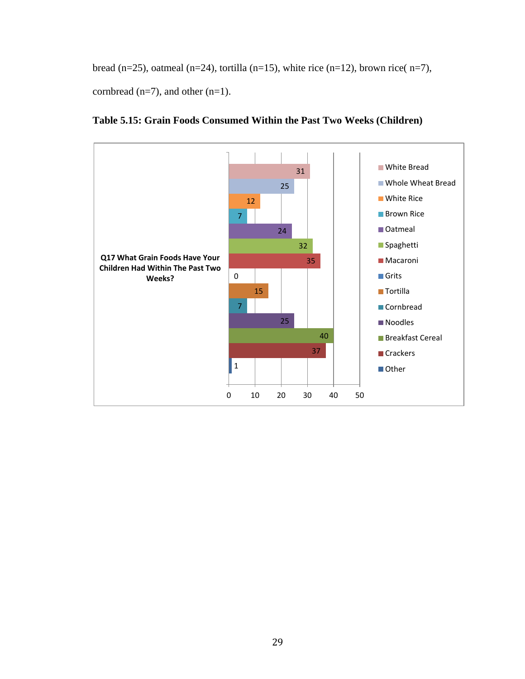bread (n=25), oatmeal (n=24), tortilla (n=15), white rice (n=12), brown rice( n=7), cornbread  $(n=7)$ , and other  $(n=1)$ .



**Table 5.15: Grain Foods Consumed Within the Past Two Weeks (Children)**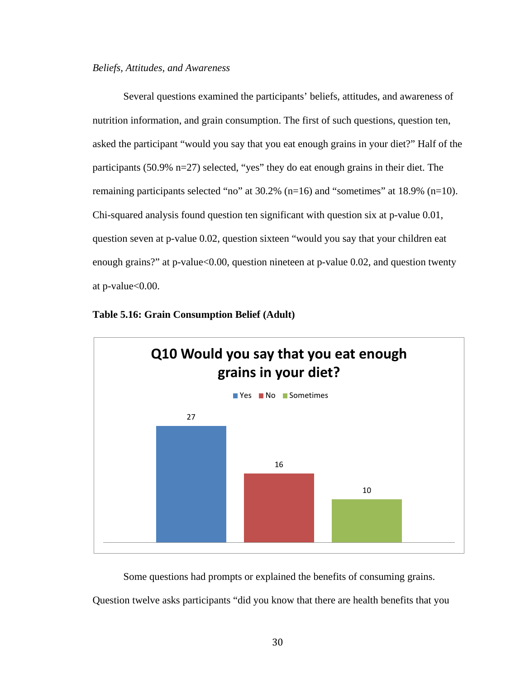#### *Beliefs, Attitudes, and Awareness*

Several questions examined the participants' beliefs, attitudes, and awareness of nutrition information, and grain consumption. The first of such questions, question ten, asked the participant "would you say that you eat enough grains in your diet?" Half of the participants (50.9% n=27) selected, "yes" they do eat enough grains in their diet. The remaining participants selected "no" at 30.2% (n=16) and "sometimes" at 18.9% (n=10). Chi-squared analysis found question ten significant with question six at p-value 0.01, question seven at p-value 0.02, question sixteen "would you say that your children eat enough grains?" at p-value<0.00, question nineteen at p-value 0.02, and question twenty at p-value<0.00.



#### **Table 5.16: Grain Consumption Belief (Adult)**

Some questions had prompts or explained the benefits of consuming grains.

Question twelve asks participants "did you know that there are health benefits that you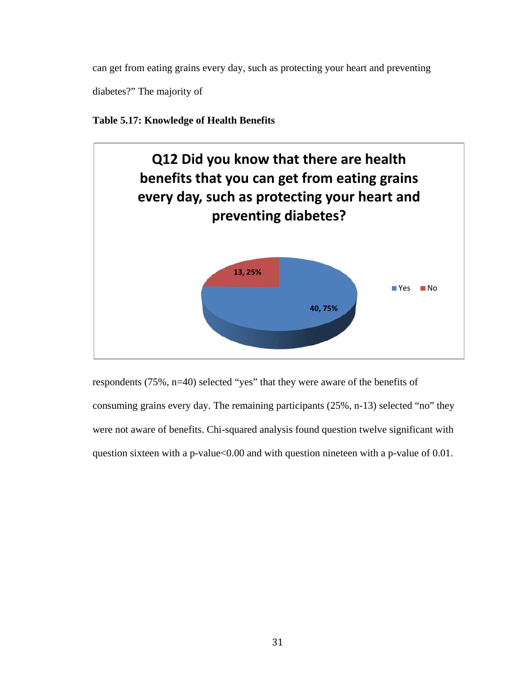can get from eating grains every day, such as protecting your heart and preventing

diabetes?" The majority of

### **Table 5.17: Knowledge of Health Benefits**



respondents (75%, n=40) selected "yes" that they were aware of the benefits of consuming grains every day. The remaining participants (25%, n-13) selected "no" they were not aware of benefits. Chi-squared analysis found question twelve significant with question sixteen with a p-value<0.00 and with question nineteen with a p-value of 0.01.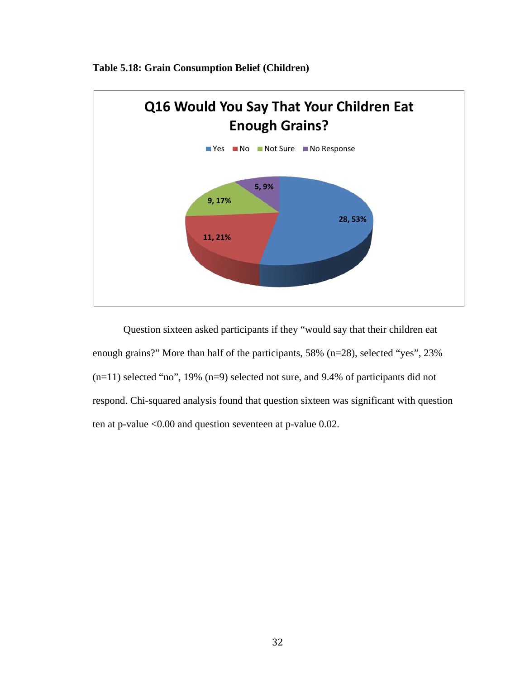

**Table 5.18: Grain Consumption Belief (Children)**

Question sixteen asked participants if they "would say that their children eat enough grains?" More than half of the participants, 58% (n=28), selected "yes", 23% (n=11) selected "no", 19% (n=9) selected not sure, and 9.4% of participants did not respond. Chi-squared analysis found that question sixteen was significant with question ten at p-value <0.00 and question seventeen at p-value 0.02.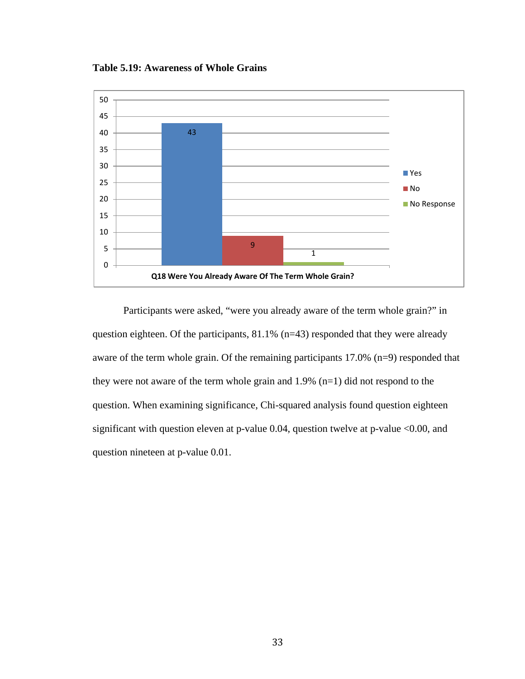**Table 5.19: Awareness of Whole Grains**



Participants were asked, "were you already aware of the term whole grain?" in question eighteen. Of the participants, 81.1% (n=43) responded that they were already aware of the term whole grain. Of the remaining participants 17.0% (n=9) responded that they were not aware of the term whole grain and 1.9% (n=1) did not respond to the question. When examining significance, Chi-squared analysis found question eighteen significant with question eleven at p-value 0.04, question twelve at p-value <0.00, and question nineteen at p-value 0.01.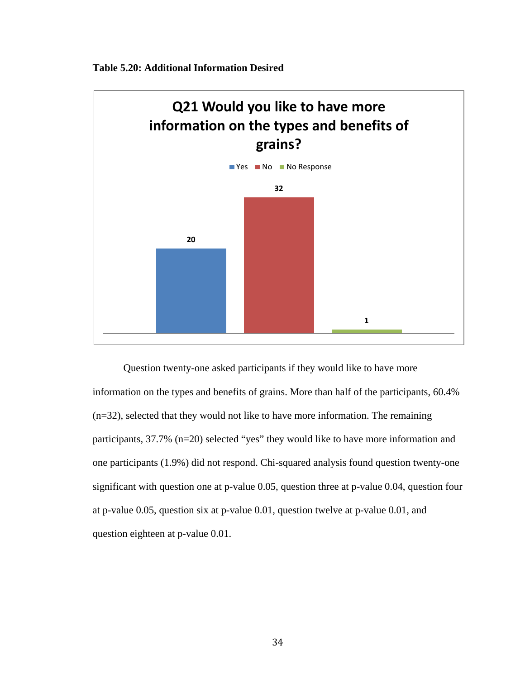

![](_page_44_Figure_1.jpeg)

Question twenty-one asked participants if they would like to have more information on the types and benefits of grains. More than half of the participants, 60.4% (n=32), selected that they would not like to have more information. The remaining participants, 37.7% (n=20) selected "yes" they would like to have more information and one participants (1.9%) did not respond. Chi-squared analysis found question twenty-one significant with question one at p-value 0.05, question three at p-value 0.04, question four at p-value 0.05, question six at p-value 0.01, question twelve at p-value 0.01, and question eighteen at p-value 0.01.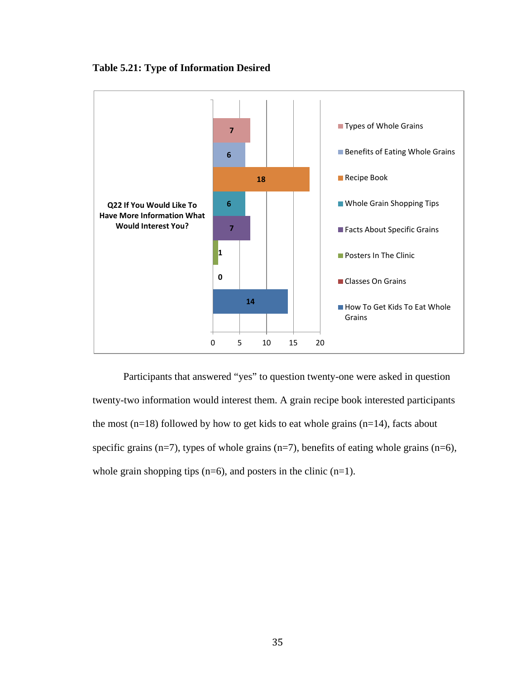![](_page_45_Figure_0.jpeg)

### **Table 5.21: Type of Information Desired**

Participants that answered "yes" to question twenty-one were asked in question twenty-two information would interest them. A grain recipe book interested participants the most  $(n=18)$  followed by how to get kids to eat whole grains  $(n=14)$ , facts about specific grains (n=7), types of whole grains (n=7), benefits of eating whole grains (n=6), whole grain shopping tips  $(n=6)$ , and posters in the clinic  $(n=1)$ .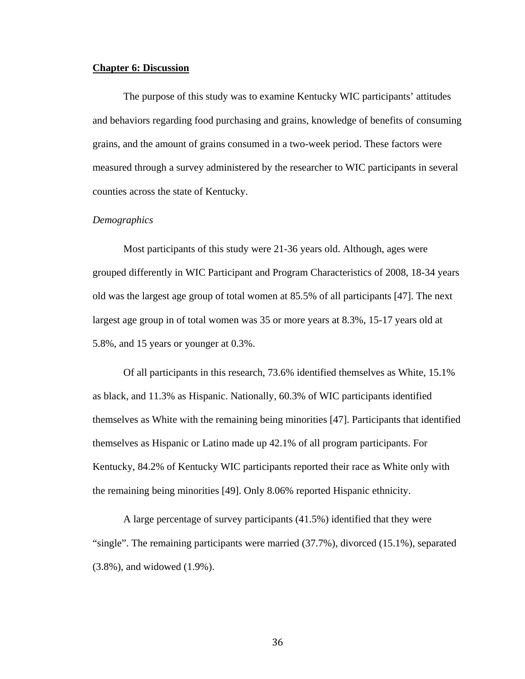#### **Chapter 6: Discussion**

The purpose of this study was to examine Kentucky WIC participants' attitudes and behaviors regarding food purchasing and grains, knowledge of benefits of consuming grains, and the amount of grains consumed in a two-week period. These factors were measured through a survey administered by the researcher to WIC participants in several counties across the state of Kentucky.

#### *Demographics*

Most participants of this study were 21-36 years old. Although, ages were grouped differently in WIC Participant and Program Characteristics of 2008, 18-34 years old was the largest age group of total women at 85.5% of all participants [47]. The next largest age group in of total women was 35 or more years at 8.3%, 15-17 years old at 5.8%, and 15 years or younger at 0.3%.

Of all participants in this research, 73.6% identified themselves as White, 15.1% as black, and 11.3% as Hispanic. Nationally, 60.3% of WIC participants identified themselves as White with the remaining being minorities [47]. Participants that identified themselves as Hispanic or Latino made up 42.1% of all program participants. For Kentucky, 84.2% of Kentucky WIC participants reported their race as White only with the remaining being minorities [49]. Only 8.06% reported Hispanic ethnicity.

A large percentage of survey participants (41.5%) identified that they were "single". The remaining participants were married (37.7%), divorced (15.1%), separated (3.8%), and widowed (1.9%).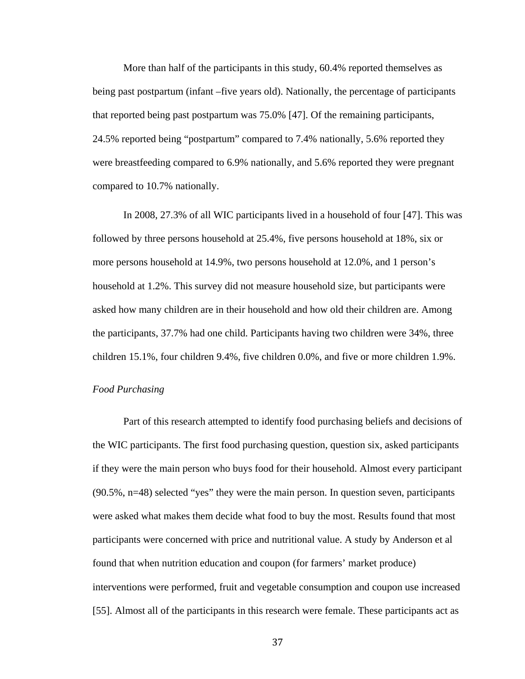More than half of the participants in this study, 60.4% reported themselves as being past postpartum (infant –five years old). Nationally, the percentage of participants that reported being past postpartum was 75.0% [47]. Of the remaining participants, 24.5% reported being "postpartum" compared to 7.4% nationally, 5.6% reported they were breastfeeding compared to 6.9% nationally, and 5.6% reported they were pregnant compared to 10.7% nationally.

In 2008, 27.3% of all WIC participants lived in a household of four [47]. This was followed by three persons household at 25.4%, five persons household at 18%, six or more persons household at 14.9%, two persons household at 12.0%, and 1 person's household at 1.2%. This survey did not measure household size, but participants were asked how many children are in their household and how old their children are. Among the participants, 37.7% had one child. Participants having two children were 34%, three children 15.1%, four children 9.4%, five children 0.0%, and five or more children 1.9%.

#### *Food Purchasing*

Part of this research attempted to identify food purchasing beliefs and decisions of the WIC participants. The first food purchasing question, question six, asked participants if they were the main person who buys food for their household. Almost every participant (90.5%, n=48) selected "yes" they were the main person. In question seven, participants were asked what makes them decide what food to buy the most. Results found that most participants were concerned with price and nutritional value. A study by Anderson et al found that when nutrition education and coupon (for farmers' market produce) interventions were performed, fruit and vegetable consumption and coupon use increased [55]. Almost all of the participants in this research were female. These participants act as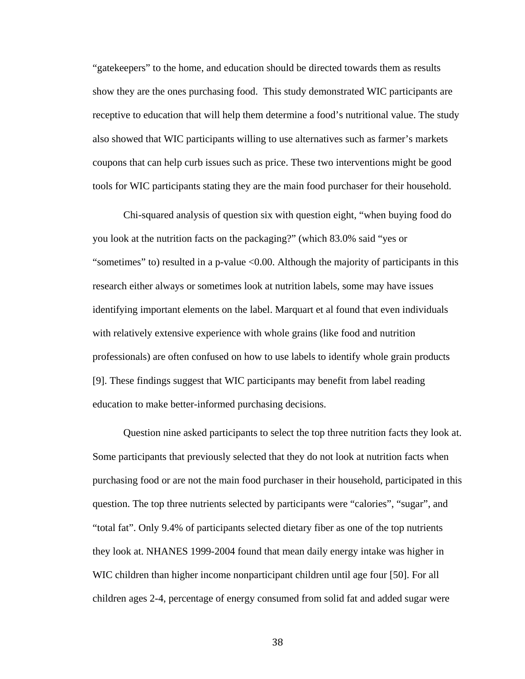"gatekeepers" to the home, and education should be directed towards them as results show they are the ones purchasing food. This study demonstrated WIC participants are receptive to education that will help them determine a food's nutritional value. The study also showed that WIC participants willing to use alternatives such as farmer's markets coupons that can help curb issues such as price. These two interventions might be good tools for WIC participants stating they are the main food purchaser for their household.

Chi-squared analysis of question six with question eight, "when buying food do you look at the nutrition facts on the packaging?" (which 83.0% said "yes or "sometimes" to) resulted in a p-value <0.00. Although the majority of participants in this research either always or sometimes look at nutrition labels, some may have issues identifying important elements on the label. Marquart et al found that even individuals with relatively extensive experience with whole grains (like food and nutrition professionals) are often confused on how to use labels to identify whole grain products [9]. These findings suggest that WIC participants may benefit from label reading education to make better-informed purchasing decisions.

Question nine asked participants to select the top three nutrition facts they look at. Some participants that previously selected that they do not look at nutrition facts when purchasing food or are not the main food purchaser in their household, participated in this question. The top three nutrients selected by participants were "calories", "sugar", and "total fat". Only 9.4% of participants selected dietary fiber as one of the top nutrients they look at. NHANES 1999-2004 found that mean daily energy intake was higher in WIC children than higher income nonparticipant children until age four [50]. For all children ages 2-4, percentage of energy consumed from solid fat and added sugar were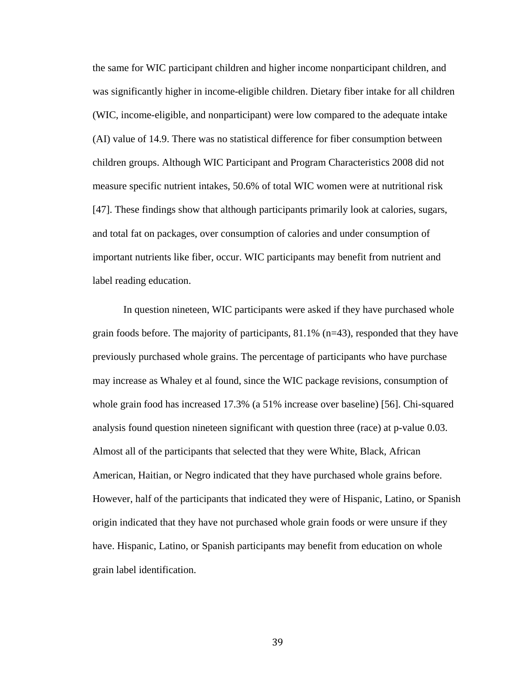the same for WIC participant children and higher income nonparticipant children, and was significantly higher in income-eligible children. Dietary fiber intake for all children (WIC, income-eligible, and nonparticipant) were low compared to the adequate intake (AI) value of 14.9. There was no statistical difference for fiber consumption between children groups. Although WIC Participant and Program Characteristics 2008 did not measure specific nutrient intakes, 50.6% of total WIC women were at nutritional risk [47]. These findings show that although participants primarily look at calories, sugars, and total fat on packages, over consumption of calories and under consumption of important nutrients like fiber, occur. WIC participants may benefit from nutrient and label reading education.

In question nineteen, WIC participants were asked if they have purchased whole grain foods before. The majority of participants, 81.1% (n=43), responded that they have previously purchased whole grains. The percentage of participants who have purchase may increase as Whaley et al found, since the WIC package revisions, consumption of whole grain food has increased 17.3% (a 51% increase over baseline) [56]. Chi-squared analysis found question nineteen significant with question three (race) at p-value 0.03. Almost all of the participants that selected that they were White, Black, African American, Haitian, or Negro indicated that they have purchased whole grains before. However, half of the participants that indicated they were of Hispanic, Latino, or Spanish origin indicated that they have not purchased whole grain foods or were unsure if they have. Hispanic, Latino, or Spanish participants may benefit from education on whole grain label identification.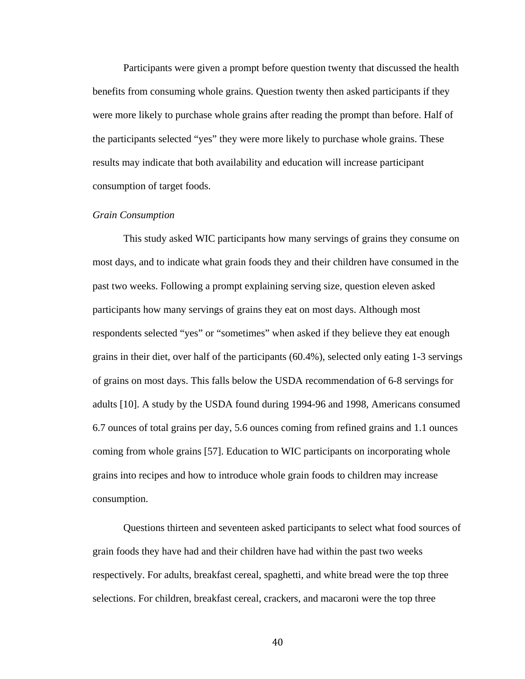Participants were given a prompt before question twenty that discussed the health benefits from consuming whole grains. Question twenty then asked participants if they were more likely to purchase whole grains after reading the prompt than before. Half of the participants selected "yes" they were more likely to purchase whole grains. These results may indicate that both availability and education will increase participant consumption of target foods.

#### *Grain Consumption*

This study asked WIC participants how many servings of grains they consume on most days, and to indicate what grain foods they and their children have consumed in the past two weeks. Following a prompt explaining serving size, question eleven asked participants how many servings of grains they eat on most days. Although most respondents selected "yes" or "sometimes" when asked if they believe they eat enough grains in their diet, over half of the participants (60.4%), selected only eating 1-3 servings of grains on most days. This falls below the USDA recommendation of 6-8 servings for adults [10]. A study by the USDA found during 1994-96 and 1998, Americans consumed 6.7 ounces of total grains per day, 5.6 ounces coming from refined grains and 1.1 ounces coming from whole grains [57]. Education to WIC participants on incorporating whole grains into recipes and how to introduce whole grain foods to children may increase consumption.

Questions thirteen and seventeen asked participants to select what food sources of grain foods they have had and their children have had within the past two weeks respectively. For adults, breakfast cereal, spaghetti, and white bread were the top three selections. For children, breakfast cereal, crackers, and macaroni were the top three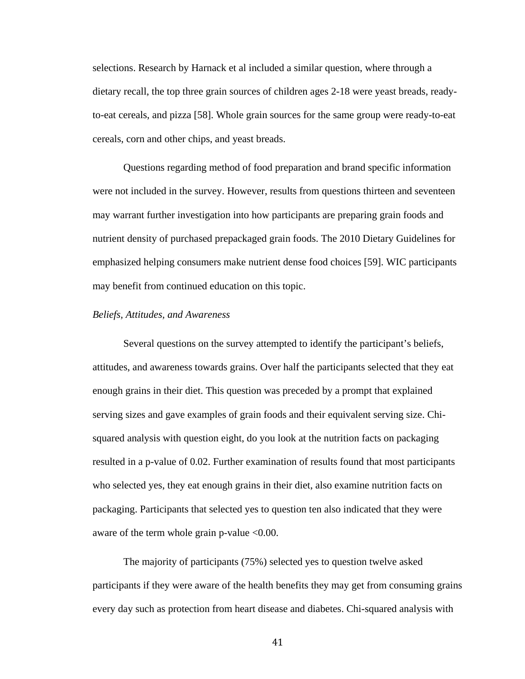selections. Research by Harnack et al included a similar question, where through a dietary recall, the top three grain sources of children ages 2-18 were yeast breads, readyto-eat cereals, and pizza [58]. Whole grain sources for the same group were ready-to-eat cereals, corn and other chips, and yeast breads.

Questions regarding method of food preparation and brand specific information were not included in the survey. However, results from questions thirteen and seventeen may warrant further investigation into how participants are preparing grain foods and nutrient density of purchased prepackaged grain foods. The 2010 Dietary Guidelines for emphasized helping consumers make nutrient dense food choices [59]. WIC participants may benefit from continued education on this topic.

### *Beliefs, Attitudes, and Awareness*

Several questions on the survey attempted to identify the participant's beliefs, attitudes, and awareness towards grains. Over half the participants selected that they eat enough grains in their diet. This question was preceded by a prompt that explained serving sizes and gave examples of grain foods and their equivalent serving size. Chisquared analysis with question eight, do you look at the nutrition facts on packaging resulted in a p-value of 0.02. Further examination of results found that most participants who selected yes, they eat enough grains in their diet, also examine nutrition facts on packaging. Participants that selected yes to question ten also indicated that they were aware of the term whole grain p-value <0.00.

The majority of participants (75%) selected yes to question twelve asked participants if they were aware of the health benefits they may get from consuming grains every day such as protection from heart disease and diabetes. Chi-squared analysis with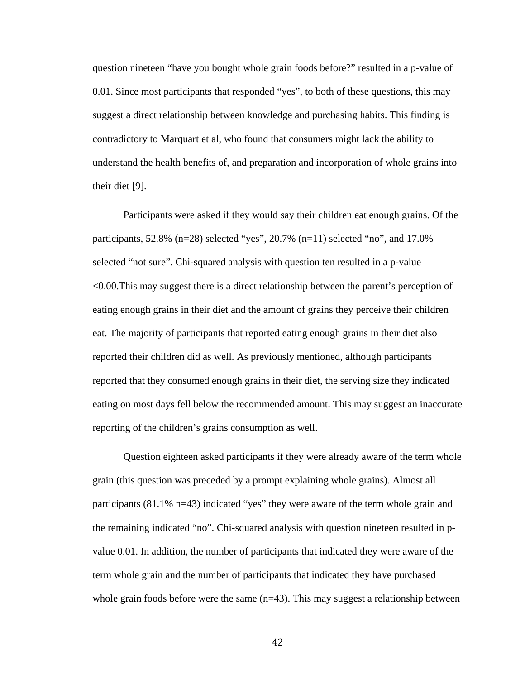question nineteen "have you bought whole grain foods before?" resulted in a p-value of 0.01. Since most participants that responded "yes", to both of these questions, this may suggest a direct relationship between knowledge and purchasing habits. This finding is contradictory to Marquart et al, who found that consumers might lack the ability to understand the health benefits of, and preparation and incorporation of whole grains into their diet [9].

Participants were asked if they would say their children eat enough grains. Of the participants, 52.8% (n=28) selected "yes", 20.7% (n=11) selected "no", and 17.0% selected "not sure". Chi-squared analysis with question ten resulted in a p-value <0.00.This may suggest there is a direct relationship between the parent's perception of eating enough grains in their diet and the amount of grains they perceive their children eat. The majority of participants that reported eating enough grains in their diet also reported their children did as well. As previously mentioned, although participants reported that they consumed enough grains in their diet, the serving size they indicated eating on most days fell below the recommended amount. This may suggest an inaccurate reporting of the children's grains consumption as well.

Question eighteen asked participants if they were already aware of the term whole grain (this question was preceded by a prompt explaining whole grains). Almost all participants (81.1% n=43) indicated "yes" they were aware of the term whole grain and the remaining indicated "no". Chi-squared analysis with question nineteen resulted in pvalue 0.01. In addition, the number of participants that indicated they were aware of the term whole grain and the number of participants that indicated they have purchased whole grain foods before were the same (n=43). This may suggest a relationship between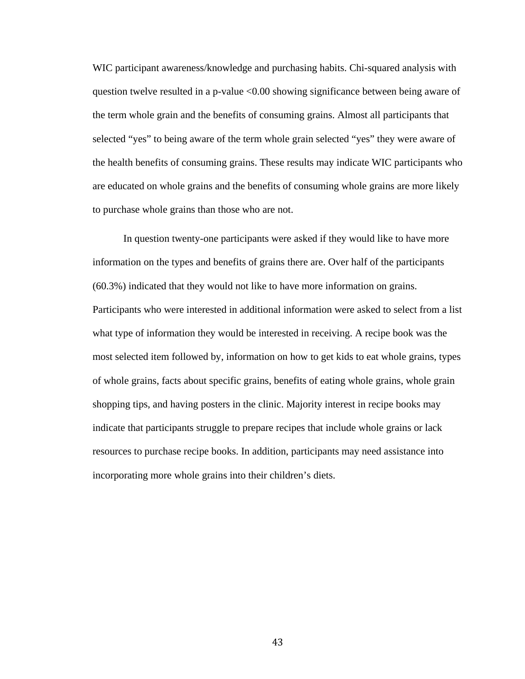WIC participant awareness/knowledge and purchasing habits. Chi-squared analysis with question twelve resulted in a p-value <0.00 showing significance between being aware of the term whole grain and the benefits of consuming grains. Almost all participants that selected "yes" to being aware of the term whole grain selected "yes" they were aware of the health benefits of consuming grains. These results may indicate WIC participants who are educated on whole grains and the benefits of consuming whole grains are more likely to purchase whole grains than those who are not.

In question twenty-one participants were asked if they would like to have more information on the types and benefits of grains there are. Over half of the participants (60.3%) indicated that they would not like to have more information on grains. Participants who were interested in additional information were asked to select from a list what type of information they would be interested in receiving. A recipe book was the most selected item followed by, information on how to get kids to eat whole grains, types of whole grains, facts about specific grains, benefits of eating whole grains, whole grain shopping tips, and having posters in the clinic. Majority interest in recipe books may indicate that participants struggle to prepare recipes that include whole grains or lack resources to purchase recipe books. In addition, participants may need assistance into incorporating more whole grains into their children's diets.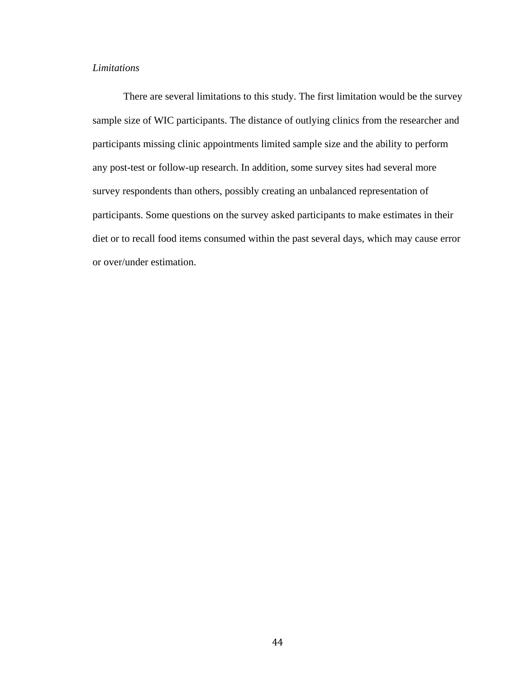### *Limitations*

There are several limitations to this study. The first limitation would be the survey sample size of WIC participants. The distance of outlying clinics from the researcher and participants missing clinic appointments limited sample size and the ability to perform any post-test or follow-up research. In addition, some survey sites had several more survey respondents than others, possibly creating an unbalanced representation of participants. Some questions on the survey asked participants to make estimates in their diet or to recall food items consumed within the past several days, which may cause error or over/under estimation.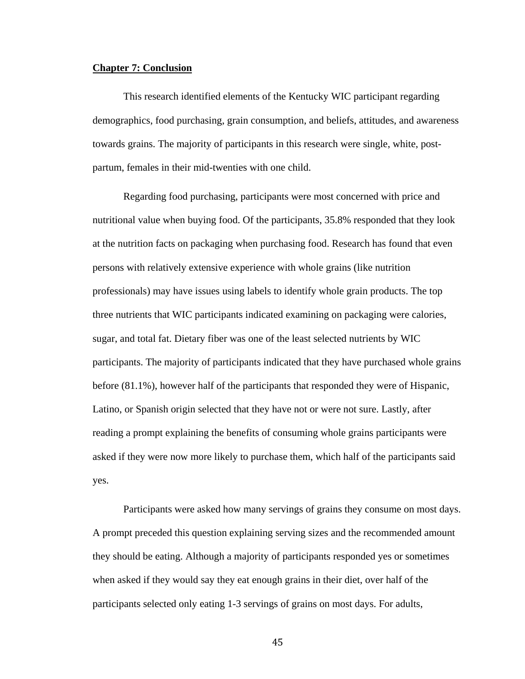#### **Chapter 7: Conclusion**

This research identified elements of the Kentucky WIC participant regarding demographics, food purchasing, grain consumption, and beliefs, attitudes, and awareness towards grains. The majority of participants in this research were single, white, postpartum, females in their mid-twenties with one child.

Regarding food purchasing, participants were most concerned with price and nutritional value when buying food. Of the participants, 35.8% responded that they look at the nutrition facts on packaging when purchasing food. Research has found that even persons with relatively extensive experience with whole grains (like nutrition professionals) may have issues using labels to identify whole grain products. The top three nutrients that WIC participants indicated examining on packaging were calories, sugar, and total fat. Dietary fiber was one of the least selected nutrients by WIC participants. The majority of participants indicated that they have purchased whole grains before (81.1%), however half of the participants that responded they were of Hispanic, Latino, or Spanish origin selected that they have not or were not sure. Lastly, after reading a prompt explaining the benefits of consuming whole grains participants were asked if they were now more likely to purchase them, which half of the participants said yes.

Participants were asked how many servings of grains they consume on most days. A prompt preceded this question explaining serving sizes and the recommended amount they should be eating. Although a majority of participants responded yes or sometimes when asked if they would say they eat enough grains in their diet, over half of the participants selected only eating 1-3 servings of grains on most days. For adults,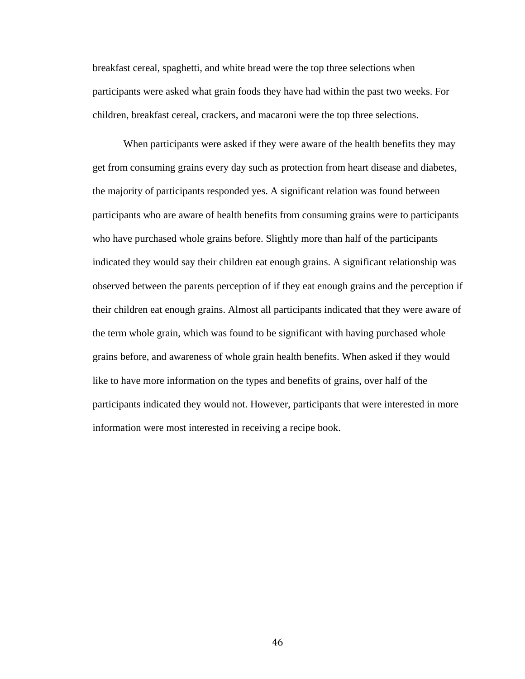breakfast cereal, spaghetti, and white bread were the top three selections when participants were asked what grain foods they have had within the past two weeks. For children, breakfast cereal, crackers, and macaroni were the top three selections.

When participants were asked if they were aware of the health benefits they may get from consuming grains every day such as protection from heart disease and diabetes, the majority of participants responded yes. A significant relation was found between participants who are aware of health benefits from consuming grains were to participants who have purchased whole grains before. Slightly more than half of the participants indicated they would say their children eat enough grains. A significant relationship was observed between the parents perception of if they eat enough grains and the perception if their children eat enough grains. Almost all participants indicated that they were aware of the term whole grain, which was found to be significant with having purchased whole grains before, and awareness of whole grain health benefits. When asked if they would like to have more information on the types and benefits of grains, over half of the participants indicated they would not. However, participants that were interested in more information were most interested in receiving a recipe book.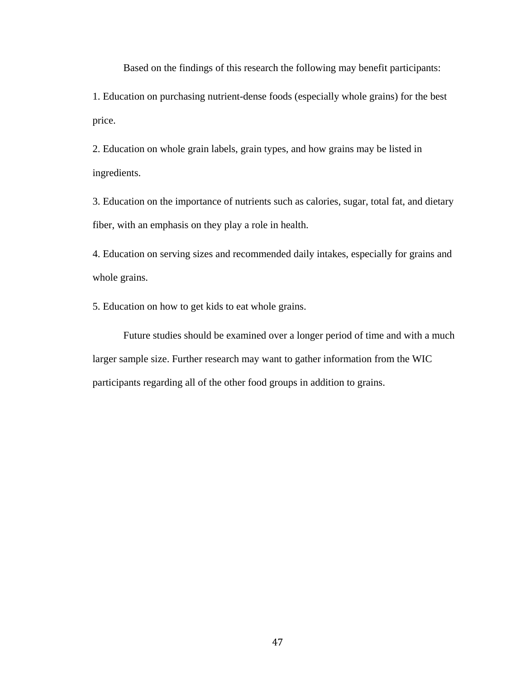Based on the findings of this research the following may benefit participants:

1. Education on purchasing nutrient-dense foods (especially whole grains) for the best price.

2. Education on whole grain labels, grain types, and how grains may be listed in ingredients.

3. Education on the importance of nutrients such as calories, sugar, total fat, and dietary fiber, with an emphasis on they play a role in health.

4. Education on serving sizes and recommended daily intakes, especially for grains and whole grains.

5. Education on how to get kids to eat whole grains.

Future studies should be examined over a longer period of time and with a much larger sample size. Further research may want to gather information from the WIC participants regarding all of the other food groups in addition to grains.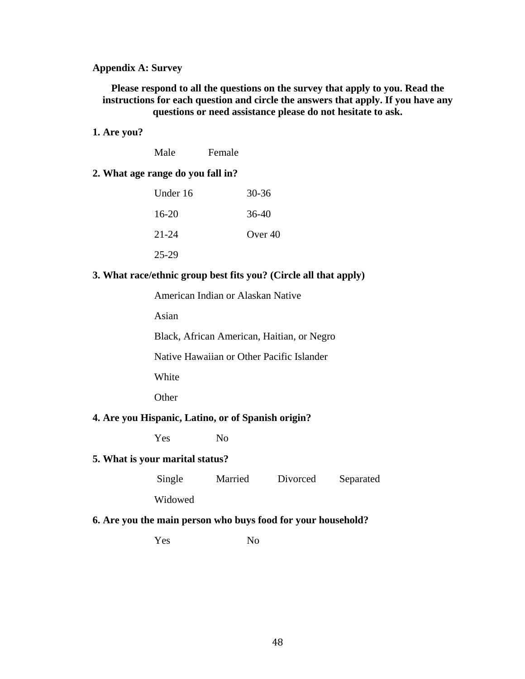### **Appendix A: Survey**

**Please respond to all the questions on the survey that apply to you. Read the instructions for each question and circle the answers that apply. If you have any questions or need assistance please do not hesitate to ask.**

### **1. Are you?**

| Male | Female |
|------|--------|
|      |        |

### **2. What age range do you fall in?**

| Under 16 | $30 - 36$ |
|----------|-----------|
| $16-20$  | 36-40     |
| 21-24    | Over $40$ |
| 25-29    |           |

### **3. What race/ethnic group best fits you? (Circle all that apply)**

American Indian or Alaskan Native

Asian

Black, African American, Haitian, or Negro

Native Hawaiian or Other Pacific Islander

White

**Other** 

### **4. Are you Hispanic, Latino, or of Spanish origin?**

Yes No

### **5. What is your marital status?**

Single Married Divorced Separated

Widowed

### **6. Are you the main person who buys food for your household?**

Yes No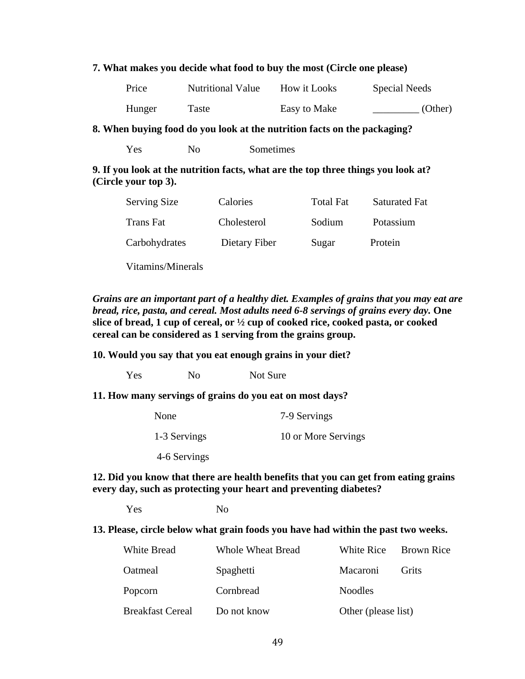### **7. What makes you decide what food to buy the most (Circle one please)**

| Price  | <b>Nutritional Value</b> | How it Looks | <b>Special Needs</b> |
|--------|--------------------------|--------------|----------------------|
| Hunger | Taste                    | Easy to Make | (Other)              |

### **8. When buying food do you look at the nutrition facts on the packaging?**

Yes No Sometimes

### **9. If you look at the nutrition facts, what are the top three things you look at? (Circle your top 3).**

| <b>Serving Size</b> | Calories      | <b>Total Fat</b> | <b>Saturated Fat</b> |
|---------------------|---------------|------------------|----------------------|
| Trans Fat           | Cholesterol   | Sodium           | Potassium            |
| Carbohydrates       | Dietary Fiber | Sugar            | Protein              |

Vitamins/Minerals

*Grains are an important part of a healthy diet. Examples of grains that you may eat are bread, rice, pasta, and cereal. Most adults need 6-8 servings of grains every day.* **One slice of bread, 1 cup of cereal, or ½ cup of cooked rice, cooked pasta, or cooked cereal can be considered as 1 serving from the grains group.**

**10. Would you say that you eat enough grains in your diet?**

Yes No Not Sure

### **11. How many servings of grains do you eat on most days?**

| None         | 7-9 Servings        |  |  |
|--------------|---------------------|--|--|
| 1-3 Servings | 10 or More Servings |  |  |

4-6 Servings

### **12. Did you know that there are health benefits that you can get from eating grains every day, such as protecting your heart and preventing diabetes?**

Yes No

### **13. Please, circle below what grain foods you have had within the past two weeks.**

| White Bread      | Whole Wheat Bread | White Rice          | <b>Brown Rice</b> |
|------------------|-------------------|---------------------|-------------------|
| Oatmeal          | Spaghetti         | <b>Macaroni</b>     | Grits             |
| Popcorn          | Cornbread         | <b>Noodles</b>      |                   |
| Breakfast Cereal | Do not know       | Other (please list) |                   |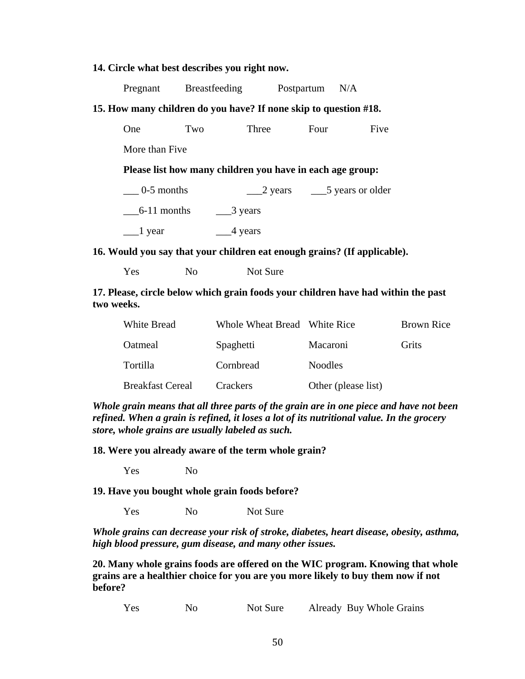### **14. Circle what best describes you right now.**

|                                                                  | Pregnant Breastfeeding |         | Postpartum | N/A                                                |  |  |
|------------------------------------------------------------------|------------------------|---------|------------|----------------------------------------------------|--|--|
| 15. How many children do you have? If none skip to question #18. |                        |         |            |                                                    |  |  |
| <b>One</b>                                                       | Two                    | Three   | Four       | Five                                               |  |  |
| More than Five                                                   |                        |         |            |                                                    |  |  |
| Please list how many children you have in each age group:        |                        |         |            |                                                    |  |  |
| $0-5$ months                                                     |                        |         |            | $\frac{2 \text{ years}}{5 \text{ years}}$ or older |  |  |
| $6-11$ months                                                    | $\frac{3}{2}$ years    |         |            |                                                    |  |  |
| $\equiv$ 1 year                                                  |                        | 4 years |            |                                                    |  |  |

### **16. Would you say that your children eat enough grains? (If applicable).**

Yes No Not Sure

**17. Please, circle below which grain foods your children have had within the past two weeks.**

| <b>White Bread</b>      | Whole Wheat Bread White Rice |                     | <b>Brown Rice</b> |
|-------------------------|------------------------------|---------------------|-------------------|
| Oatmeal                 | Spaghetti                    | Macaroni            | Grits             |
| Tortilla                | Cornbread                    | <b>Noodles</b>      |                   |
| <b>Breakfast Cereal</b> | Crackers                     | Other (please list) |                   |

*Whole grain means that all three parts of the grain are in one piece and have not been refined. When a grain is refined, it loses a lot of its nutritional value. In the grocery store, whole grains are usually labeled as such.* 

**18. Were you already aware of the term whole grain?** 

Yes No

**19. Have you bought whole grain foods before?**

Yes No Not Sure

*Whole grains can decrease your risk of stroke, diabetes, heart disease, obesity, asthma, high blood pressure, gum disease, and many other issues.* 

**20. Many whole grains foods are offered on the WIC program. Knowing that whole grains are a healthier choice for you are you more likely to buy them now if not before?**

Yes No Not Sure Already Buy Whole Grains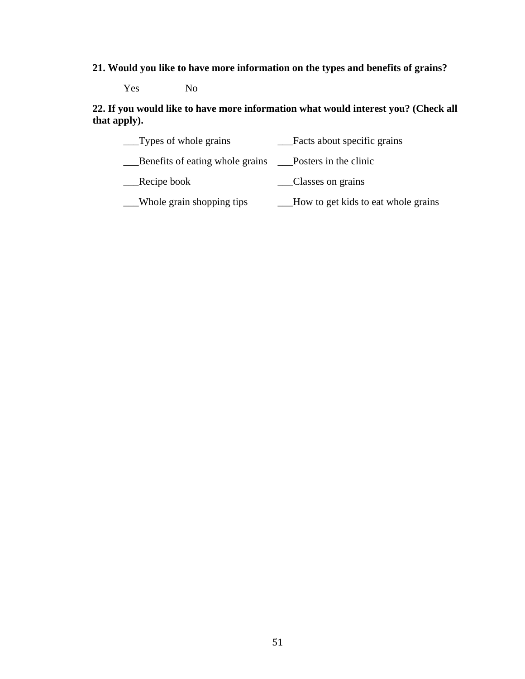# **21. Would you like to have more information on the types and benefits of grains?**

Yes No

**22. If you would like to have more information what would interest you? (Check all that apply).**

| $\Box$ Types of whole grains                            | Facts about specific grains         |
|---------------------------------------------------------|-------------------------------------|
| Benefits of eating whole grains __Posters in the clinic |                                     |
| Recipe book                                             | Classes on grains                   |
| Whole grain shopping tips                               | How to get kids to eat whole grains |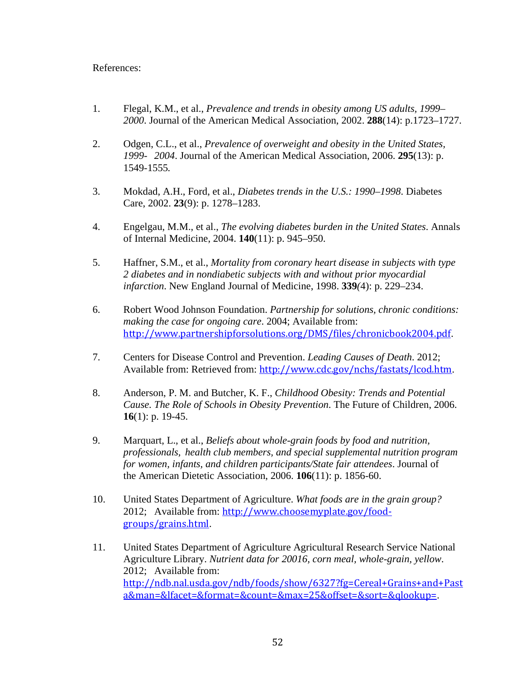### References:

- 1. Flegal, K.M., et al., *Prevalence and trends in obesity among US adults, 1999– 2000*. Journal of the American Medical Association, 2002. **288**(14): p.1723–1727.
- 2. Odgen, C.L., et al., *Prevalence of overweight and obesity in the United States, 1999- 2004*. Journal of the American Medical Association, 2006. **295**(13): p. 1549-1555*.*
- 3. Mokdad, A.H., Ford, et al., *Diabetes trends in the U.S.: 1990–1998*. Diabetes Care, 2002. **23**(9): p. 1278–1283.
- 4. Engelgau, M.M., et al., *The evolving diabetes burden in the United States*. Annals of Internal Medicine, 2004. **140**(11): p. 945–950.
- 5. Haffner, S.M., et al., *Mortality from coronary heart disease in subjects with type 2 diabetes and in nondiabetic subjects with and without prior myocardial infarction*. New England Journal of Medicine, 1998. **339***(*4): p. 229–234.
- 6. Robert Wood Johnson Foundation. *Partnership for solutions, chronic conditions: making the case for ongoing care*. 2004; Available from: <http://www.partnershipforsolutions.org/DMS/files/chronicbook2004.pdf>.
- 7. Centers for Disease Control and Prevention. *Leading Causes of Death*. 2012; Available from: Retrieved from: <http://www.cdc.gov/nchs/fastats/lcod.htm>.
- 8. Anderson, P. M. and Butcher, K. F., *Childhood Obesity: Trends and Potential Cause. The Role of Schools in Obesity Prevention*. The Future of Children, 2006. **16**(1): p. 19-45.
- 9. Marquart, L., et al., *Beliefs about whole-grain foods by food and nutrition, professionals, health club members, and special supplemental nutrition program for women, infants, and children participants/State fair attendees*. Journal of the American Dietetic Association, 2006. **106**(11): p. 1856-60.
- 10. United States Department of Agriculture. *What foods are in the grain group?* 2012; Available from: [http://www.choosemyplate.gov/food](http://www.choosemyplate.gov/food-groups/grains.html)[groups/grains.html](http://www.choosemyplate.gov/food-groups/grains.html).
- 11. United States Department of Agriculture Agricultural Research Service National Agriculture Library. *Nutrient data for 20016, corn meal, whole-grain, yellow*. 2012; Available from: [http://ndb.nal.usda.gov/ndb/foods/show/6327?fg=Cereal+Grains+and+Past](http://ndb.nal.usda.gov/ndb/foods/show/6327?fg=Cereal+Grains+and+Pasta&man=&lfacet=&format=&count=&max=25&offset=&sort=&qlookup=) [a&man=&lfacet=&format=&count=&max=25&offset=&sort=&qlookup=](http://ndb.nal.usda.gov/ndb/foods/show/6327?fg=Cereal+Grains+and+Pasta&man=&lfacet=&format=&count=&max=25&offset=&sort=&qlookup=).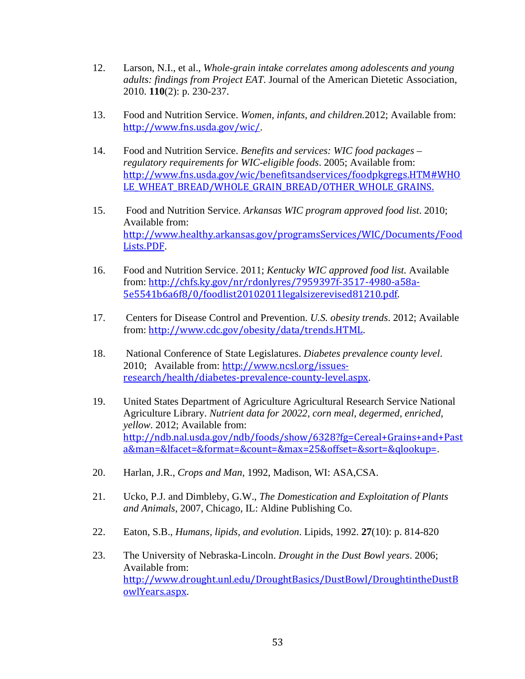- 12. Larson, N.I., et al., *Whole-grain intake correlates among adolescents and young adults: findings from Project EAT*. Journal of the American Dietetic Association, 2010. **110**(2): p. 230-237.
- 13. Food and Nutrition Service. *Women, infants, and children.*2012; Available from: <http://www.fns.usda.gov/wic/>.
- 14. Food and Nutrition Service. *Benefits and services: WIC food packages – regulatory requirements for WIC-eligible foods*. 2005; Available from: [http://www.fns.usda.gov/wic/benefitsandservices/foodpkgregs.HTM#WHO](http://www.fns.usda.gov/wic/benefitsandservices/foodpkgregs.HTM#WHOLE_WHEAT_BREAD/WHOLE_GRAIN_BREAD/OTHER_WHOLE_GRAINS.) LE WHEAT BREAD/WHOLE GRAIN BREAD/OTHER WHOLE GRAINS.
- 15. Food and Nutrition Service. *Arkansas WIC program approved food list*. 2010; Available from: [http://www.healthy.arkansas.gov/programsServices/WIC/Documents/Food](http://www.healthy.arkansas.gov/programsServices/WIC/Documents/FoodLists.PDF) [Lists.PDF](http://www.healthy.arkansas.gov/programsServices/WIC/Documents/FoodLists.PDF).
- 16. Food and Nutrition Service. 2011; *Kentucky WIC approved food list.* Available from: [http://chfs.ky.gov/nr/rdonlyres/7959397f-3517-4980-a58a-](http://chfs.ky.gov/nr/rdonlyres/7959397f-3517-4980-a58a-5e5541b6a6f8/0/foodlist20102011legalsizerevised81210.pdf)[5e5541b6a6f8/0/foodlist20102011legalsizerevised81210.pdf.](http://chfs.ky.gov/nr/rdonlyres/7959397f-3517-4980-a58a-5e5541b6a6f8/0/foodlist20102011legalsizerevised81210.pdf)
- 17. Centers for Disease Control and Prevention. *U.S. obesity trends*. 2012; Available from: <http://www.cdc.gov/obesity/data/trends.HTML>.
- 18. National Conference of State Legislatures. *Diabetes prevalence county level*. 2010; Available from: [http://www.ncsl.org/issues](http://www.ncsl.org/issues-research/health/diabetes-prevalence-county-level.aspx)[research/health/diabetes-prevalence-county-level.aspx](http://www.ncsl.org/issues-research/health/diabetes-prevalence-county-level.aspx).
- 19. United States Department of Agriculture Agricultural Research Service National Agriculture Library. *Nutrient data for 20022, corn meal, degermed, enriched, yellow*. 2012; Available from: [http://ndb.nal.usda.gov/ndb/foods/show/6328?fg=Cereal+Grains+and+Past](http://ndb.nal.usda.gov/ndb/foods/show/6328?fg=Cereal+Grains+and+Pasta&man=&lfacet=&format=&count=&max=25&offset=&sort=&qlookup=) [a&man=&lfacet=&format=&count=&max=25&offset=&sort=&qlookup=](http://ndb.nal.usda.gov/ndb/foods/show/6328?fg=Cereal+Grains+and+Pasta&man=&lfacet=&format=&count=&max=25&offset=&sort=&qlookup=).
- 20. Harlan, J.R., *Crops and Man,* 1992, Madison, WI: ASA,CSA.
- 21. Ucko, P.J. and Dimbleby, G.W., *The Domestication and Exploitation of Plants and Animals*, 2007, Chicago, IL: Aldine Publishing Co.
- 22. Eaton, S.B., *Humans, lipids, and evolution*. Lipids, 1992. **27**(10): p. 814-820
- 23. The University of Nebraska-Lincoln. *Drought in the Dust Bowl years*. 2006; Available from: [http://www.drought.unl.edu/DroughtBasics/DustBowl/DroughtintheDustB](http://www.drought.unl.edu/DroughtBasics/DustBowl/DroughtintheDustBowlYears.aspx) [owlYears.aspx](http://www.drought.unl.edu/DroughtBasics/DustBowl/DroughtintheDustBowlYears.aspx).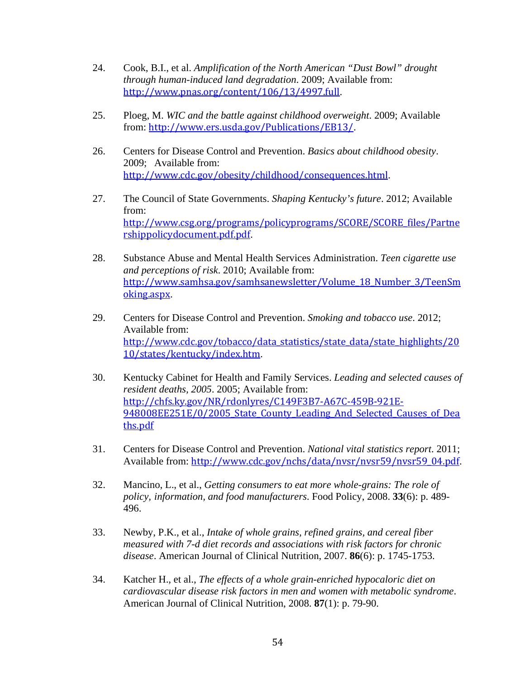- 24. Cook, B.I., et al. *Amplification of the North American "Dust Bowl" drought through human-induced land degradation*. 2009; Available from: <http://www.pnas.org/content/106/13/4997.full>.
- 25. Ploeg, M. *WIC and the battle against childhood overweight*. 2009; Available from: <http://www.ers.usda.gov/Publications/EB13/>.
- 26. Centers for Disease Control and Prevention. *Basics about childhood obesity*. 2009; Available from: <http://www.cdc.gov/obesity/childhood/consequences.html>.
- 27. The Council of State Governments. *Shaping Kentucky's future*. 2012; Available from: [http://www.csg.org/programs/policyprograms/SCORE/SCORE\\_files/Partne](http://www.csg.org/programs/policyprograms/SCORE/SCORE_files/Partnershippolicydocument.pdf.pdf) [rshippolicydocument.pdf.pdf](http://www.csg.org/programs/policyprograms/SCORE/SCORE_files/Partnershippolicydocument.pdf.pdf).
- 28. Substance Abuse and Mental Health Services Administration. *Teen cigarette use and perceptions of risk*. 2010; Available from: [http://www.samhsa.gov/samhsanewsletter/Volume\\_18\\_Number\\_3/TeenSm](http://www.samhsa.gov/samhsanewsletter/Volume_18_Number_3/TeenSmoking.aspx) [oking.aspx](http://www.samhsa.gov/samhsanewsletter/Volume_18_Number_3/TeenSmoking.aspx).
- 29. Centers for Disease Control and Prevention. *Smoking and tobacco use*. 2012; Available from: [http://www.cdc.gov/tobacco/data\\_statistics/state\\_data/state\\_highlights/20](http://www.cdc.gov/tobacco/data_statistics/state_data/state_highlights/2010/states/kentucky/index.htm) [10/states/kentucky/index.htm](http://www.cdc.gov/tobacco/data_statistics/state_data/state_highlights/2010/states/kentucky/index.htm).
- 30. Kentucky Cabinet for Health and Family Services. *Leading and selected causes of resident deaths, 2005*. 2005; Available from: [http://chfs.ky.gov/NR/rdonlyres/C149F3B7-A67C-459B-921E-](http://chfs.ky.gov/NR/rdonlyres/C149F3B7-A67C-459B-921E-948008EE251E/0/2005_State_County_Leading_And_Selected_Causes_of_Deaths.pdf)948008EE251E/0/2005 State County Leading And Selected Causes of Dea [ths.pdf](http://chfs.ky.gov/NR/rdonlyres/C149F3B7-A67C-459B-921E-948008EE251E/0/2005_State_County_Leading_And_Selected_Causes_of_Deaths.pdf)
- 31. Centers for Disease Control and Prevention. *National vital statistics report*. 2011; Available from: [http://www.cdc.gov/nchs/data/nvsr/nvsr59/nvsr59\\_04.pdf](http://www.cdc.gov/nchs/data/nvsr/nvsr59/nvsr59_04.pdf).
- 32. Mancino, L., et al., *Getting consumers to eat more whole-grains: The role of policy, information, and food manufacturers*. Food Policy, 2008. **33**(6): p. 489- 496.
- 33. Newby, P.K., et al., *Intake of whole grains, refined grains, and cereal fiber measured with 7-d diet records and associations with risk factors for chronic disease*. American Journal of Clinical Nutrition, 2007. **86**(6): p. 1745-1753.
- 34. Katcher H., et al., *The effects of a whole grain-enriched hypocaloric diet on cardiovascular disease risk factors in men and women with metabolic syndrome*. American Journal of Clinical Nutrition, 2008. **87**(1): p. 79-90.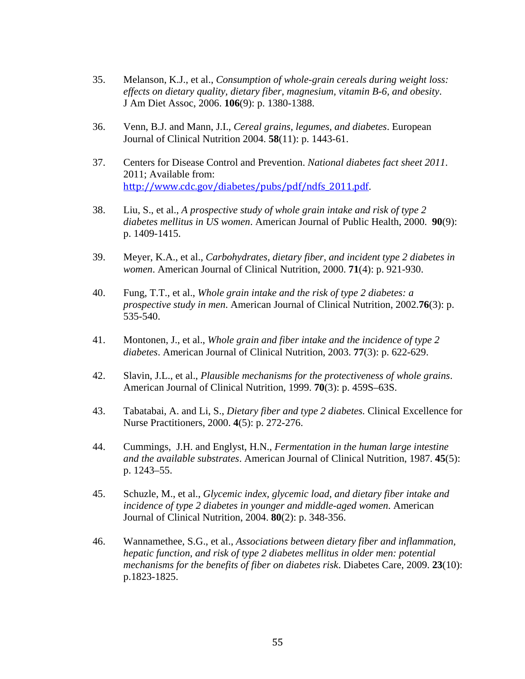- 35. Melanson, K.J., et al., *Consumption of whole-grain cereals during weight loss: effects on dietary quality, dietary fiber, magnesium, vitamin B-6, and obesity*. J Am Diet Assoc, 2006. **106**(9): p. 1380-1388.
- 36. Venn, B.J. and Mann, J.I., *Cereal grains, legumes, and diabetes*. European Journal of Clinical Nutrition 2004. **58**(11): p. 1443-61.
- 37. Centers for Disease Control and Prevention. *National diabetes fact sheet 2011*. 2011; Available from: [http://www.cdc.gov/diabetes/pubs/pdf/ndfs\\_2011.pdf](http://www.cdc.gov/diabetes/pubs/pdf/ndfs_2011.pdf).
- 38. Liu, S., et al., *A prospective study of whole grain intake and risk of type 2 diabetes mellitus in US women*. American Journal of Public Health, 2000. **90**(9): p. 1409-1415.
- 39. Meyer, K.A., et al., *Carbohydrates, dietary fiber, and incident type 2 diabetes in women*. American Journal of Clinical Nutrition, 2000. **71**(4): p. 921-930.
- 40. Fung, T.T., et al., *Whole grain intake and the risk of type 2 diabetes: a prospective study in men*. American Journal of Clinical Nutrition, 2002.**76**(3): p. 535-540.
- 41. Montonen, J., et al., *Whole grain and fiber intake and the incidence of type 2 diabetes*. American Journal of Clinical Nutrition, 2003. **77**(3): p. 622-629.
- 42. Slavin, J.L., et al., *Plausible mechanisms for the protectiveness of whole grains*. American Journal of Clinical Nutrition, 1999. **70**(3): p. 459S–63S.
- 43. Tabatabai, A. and Li, S., *Dietary fiber and type 2 diabetes.* Clinical Excellence for Nurse Practitioners, 2000. **4**(5): p. 272-276.
- 44. Cummings, J.H. and Englyst, H.N., *Fermentation in the human large intestine and the available substrates*. American Journal of Clinical Nutrition, 1987. **45**(5): p. 1243–55.
- 45. Schuzle, M., et al., *Glycemic index, glycemic load, and dietary fiber intake and incidence of type 2 diabetes in younger and middle-aged women*. American Journal of Clinical Nutrition, 2004. **80**(2): p. 348-356.
- 46. Wannamethee, S.G., et al., *Associations between dietary fiber and inflammation, hepatic function, and risk of type 2 diabetes mellitus in older men: potential mechanisms for the benefits of fiber on diabetes risk*. Diabetes Care, 2009. **23**(10): p.1823-1825.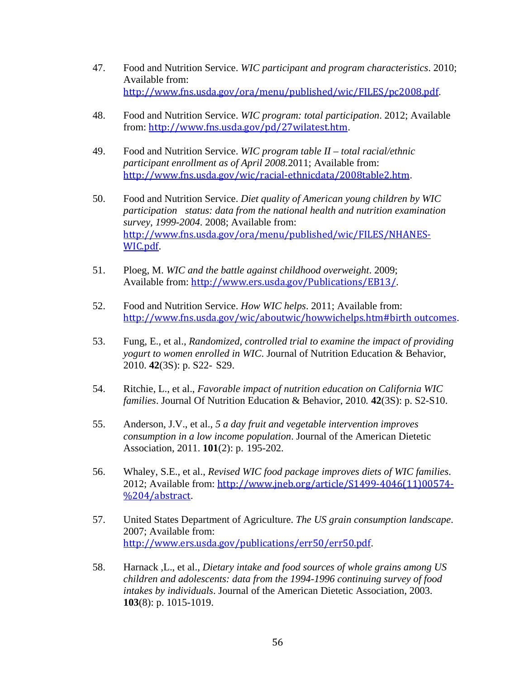- 47. Food and Nutrition Service. *WIC participant and program characteristics*. 2010; Available from: <http://www.fns.usda.gov/ora/menu/published/wic/FILES/pc2008.pdf>.
- 48. Food and Nutrition Service. *WIC program: total participation*. 2012; Available from: <http://www.fns.usda.gov/pd/27wilatest.htm>.
- 49. Food and Nutrition Service. *WIC program table II – total racial/ethnic participant enrollment as of April 2008.*2011; Available from: <http://www.fns.usda.gov/wic/racial-ethnicdata/2008table2.htm>.
- 50. Food and Nutrition Service. *Diet quality of American young children by WIC participation status: data from the national health and nutrition examination survey, 1999-2004*. 2008; Available from: [http://www.fns.usda.gov/ora/menu/published/wic/FILES/NHANES-](http://www.fns.usda.gov/ora/menu/published/wic/FILES/NHANES-WIC.pdf)[WIC.pdf](http://www.fns.usda.gov/ora/menu/published/wic/FILES/NHANES-WIC.pdf).
- 51. Ploeg, M. *WIC and the battle against childhood overweight*. 2009; Available from: <http://www.ers.usda.gov/Publications/EB13/>.
- 52. Food and Nutrition Service. *How WIC helps*. 2011; Available from: <http://www.fns.usda.gov/wic/aboutwic/howwichelps.htm#birth outcomes>.
- 53. Fung, E., et al., *Randomized, controlled trial to examine the impact of providing yogurt to women enrolled in WIC*. Journal of Nutrition Education & Behavior, 2010. **42**(3S): p. S22- S29.
- 54. Ritchie, L., et al., *Favorable impact of nutrition education on California WIC families*. Journal Of Nutrition Education & Behavior, 2010*.* **42**(3S): p. S2-S10.
- 55. Anderson, J.V., et al., *5 a day fruit and vegetable intervention improves consumption in a low income population*. Journal of the American Dietetic Association, 2011. **101**(2): p. 195-202.
- 56. Whaley, S.E., et al., *Revised WIC food package improves diets of WIC families*. 2012; Available from: [http://www.jneb.org/article/S1499-4046\(11\)00574-](http://www.jneb.org/article/S1499-4046(11)00574-%204/abstract) [%204/abstract](http://www.jneb.org/article/S1499-4046(11)00574-%204/abstract).
- 57. United States Department of Agriculture. *The US grain consumption landscape*. 2007; Available from: <http://www.ers.usda.gov/publications/err50/err50.pdf>.
- 58. Harnack ,L., et al., *Dietary intake and food sources of whole grains among US children and adolescents: data from the 1994-1996 continuing survey of food intakes by individuals*. Journal of the American Dietetic Association, 2003. **103**(8): p. 1015-1019.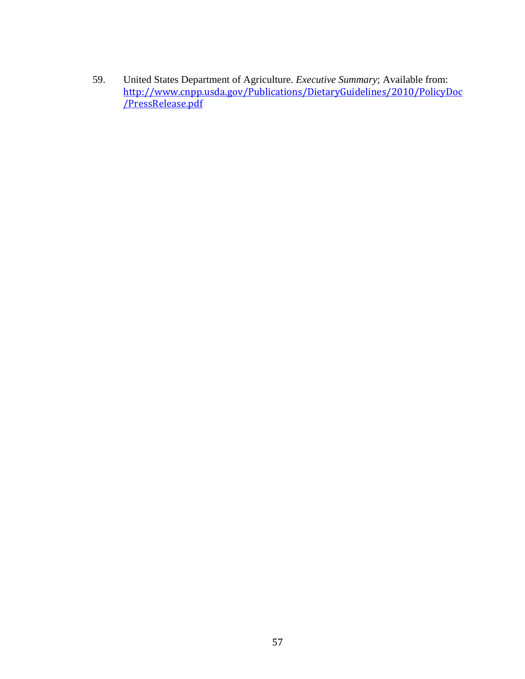59. United States Department of Agriculture. *Executive Summary*; Available from: [http://www.cnpp.usda.gov/Publications/DietaryGuidelines/2010/PolicyDoc](http://www.cnpp.usda.gov/Publications/DietaryGuidelines/2010/PolicyDoc/PressRelease.pdf) <u>[/PressRelease.pdf](http://www.cnpp.usda.gov/Publications/DietaryGuidelines/2010/PolicyDoc/PressRelease.pdf)</u>